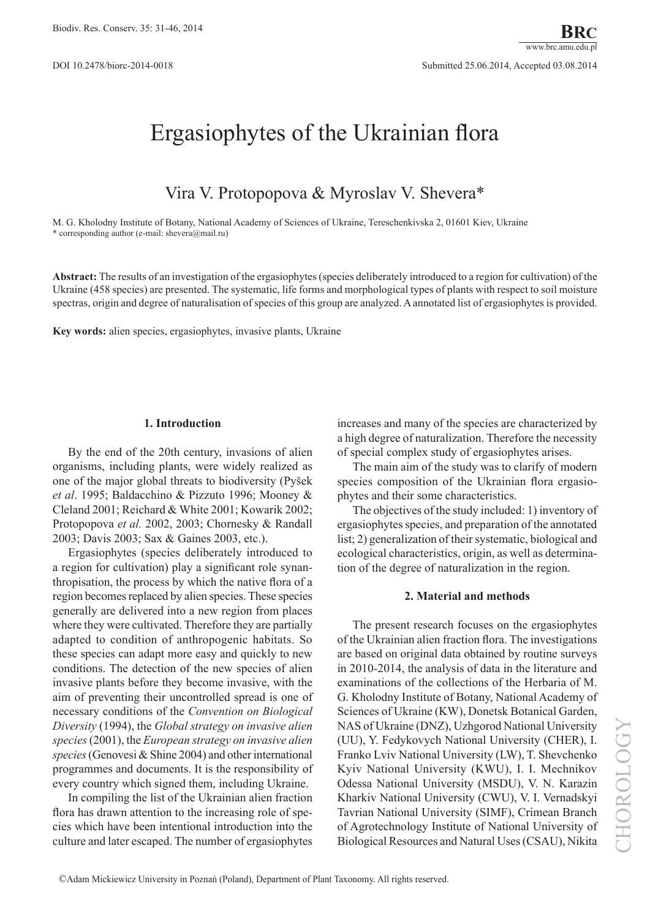# Ergasiophytes of the Ukrainian flora

# Vira V. Protopopova & Myroslav V. Shevera\*

M. G. Kholodny Institute of Botany, National Academy of Sciences of Ukraine, Tereschenkivska 2, 01601 Kiev, Ukraine \* corresponding author (e-mail: shevera@mail.ru)

**Abstract:** The results of an investigation of the ergasiophytes (species deliberately introduced to a region for cultivation) of the Ukraine (458 species) are presented. The systematic, life forms and morphological types of plants with respect to soil moisture spectras, origin and degree of naturalisation of species of thіs group are analyzed. A annotated list of ergasiophytes is provided.

**Key words:** alien species, ergasiophytes, invasive plants, Ukraine

# **1. Introduction**

By the end of the 20th century, invasions of alien organisms, including plants, were widely realized as one of the major global threats to biodiversity (Pyšek *et al*. 1995; Baldacchino & Pizzuto 1996; Mooney & Cleland 2001; Reichard & White 2001; Kowarik 2002; Protopopova *et al.* 2002, 2003; Chornesky & Randall 2003; Davis 2003; Sax & Gaines 2003, etc.).

Ergasiophytes (species deliberately introduced to a region for cultivation) play a significant role synanthropisation, the process by which the native flora of a region becomes replaced by alien species. These species generally are delivered into a new region from places where they were cultivated. Therefore they are partially adapted to condition of anthropogenic habitats. So these species can adapt more easy and quickly to new conditions. The detection of the new species of alien invasive plants before they become invasive, with the aim of preventing their uncontrolled spread is one of necessary conditions of the *Convention on Biological Diversity* (1994), the *Global strategy on invasive alien species*(2001), the *European strategy on invasive alien species*(Genovesi & Shine 2004) and other international programmes and documents. It is the responsibility of every country which signed them, including Ukraine.

In compiling the list of the Ukrainian alien fraction flora has drawn attention to the increasing role of species which have been intentional introduction into the culture and later escaped. The number of ergasiophytes

increases and many of the species are characterized by a high degree of naturalization. Therefore the necessity of special complex study of ergasiophytes arises.

The main aim of the study was to clarify of modern species composition of the Ukrainian flora ergasiophytes and their some characteristics.

The objectives of the study included: 1) inventory of ergasiophytes species, and preparation of the annotated list; 2) generalization of their systematic, biological and ecological characteristics, origin, as well as determination of the degree of naturalization in the region.

# **2. Material and methods**

The present research focuses on the ergasiophytes of the Ukrainian alien fraction flora. The investigations are based on original data obtained by routine surveys in 2010-2014, the analysis of data in the literature and examinations of the collections of the Herbaria of M. G. Kholodny Institute of Botany, National Academy of Sciences of Ukraine (KW), Donetsk Botanical Garden, NAS of Ukraine (DNZ), Uzhgorod National University (UU), Y. Fedykovych National University (CHER), I. Franko Lviv National University (LW), T. Shevchenko Kyiv National University (KWU), I. I. Mechnikov Odessa National University (MSDU), V. N. Karazin Kharkiv National University (CWU), V. I. Vernadskyi Tavrian National University (SIMF), Crimean Branch of Agrotechnology Institute of National University of Biological Resources and Natural Uses (CSAU), Nikita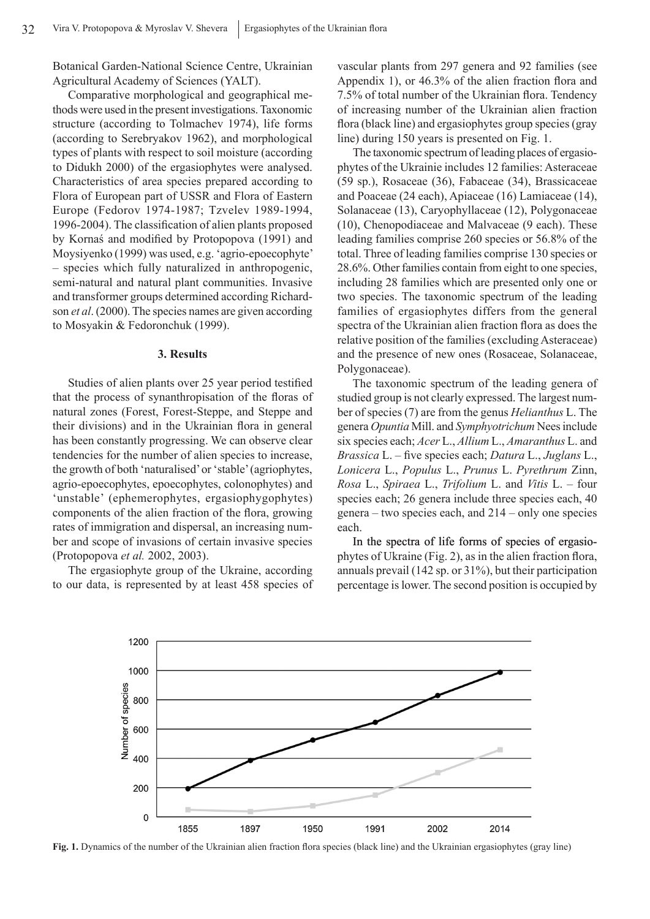Botanical Garden-National Science Centre, Ukrainian Agricultural Academy of Sciences (YALT).

Comparative morphological and geographical methods were used in the present investigations. Taxonomic structure (according to Tolmachev 1974), life forms (according to Serebryakov 1962), and morphological types of plants with respect to soil moisture (according to Didukh 2000) of the ergasiophytes were analysed. Characteristics of area species prepared according to Flora of European part of USSR and Flora of Eastern Europe (Fedorov 1974-1987; Tzvelev 1989-1994, 1996-2004). The classification of alien plants proposed by Kornaś and modified by Protopopova (1991) and Moysiyenko (1999) was used, e.g. 'agrio-epoecophyte' – species which fully naturalized in anthropogenic, semi-natural and natural plant communities. Invasive and transformer groups determined according Richardson *et al*. (2000). The species names are given according to Mosyakin & Fedoronchuk (1999).

#### **3. Results**

Studies of alien plants over 25 year period testified that the process of synanthropisation of the floras of natural zones (Forest, Forest-Steppe, and Steppe and their divisions) and in the Ukrainian flora in general has been constantly progressing. We can observe clear tendencies for the number of alien species to increase, the growth of both 'naturalised' or 'stable' (agriophytes, agrio-epoecophytes, epoecophytes, colonophytes) and 'unstable' (ephemerophytes, ergasiophygophytes) components of the alien fraction of the flora, growing rates of immigration and dispersal, an increasing number and scope of invasions of certain invasive species (Protopopova *et al.* 2002, 2003).

The ergasiophyte group of the Ukraine, according to our data, is represented by at least 458 species of

vascular plants from 297 genera and 92 families (see Appendix 1), or 46.3% of the alien fraction flora and 7.5% of total number of the Ukrainian flora. Tendency of increasing number of the Ukrainian alien fraction flora (black line) and ergasiophytes group species (gray line) during 150 years is presented on Fig. 1.

The taxonomic spectrum of leading places of ergasiophytes of the Ukrainie includes 12 families: Asteraceae (59 sp.), Rosaceae (36), Fabaceae (34), Brassicaceae and Poaceae (24 each), Apiaceae (16) Lamiaceae (14), Solanaceae (13), Caryophyllaceae (12), Polygonaceae (10), Chenopodiaceae and Malvaceae (9 each). These leading families comprise 260 species or 56.8% of the total. Three of leading families comprise 130 species or 28.6%. Other families contain from eight to one species, including 28 families which are presented only one or two species. The taxonomic spectrum of the leading families of ergasiophytes differs from the general spectra of the Ukrainian alien fraction flora as does the relative position of the families (excluding Asteraceae) and the presence of new ones (Rosaceae, Solanaceae, Polygonaceae).

The taxonomic spectrum of the leading genera of studied group is not clearly expressed. The largest number of species (7) are from the genus *Helianthus* L. The genera *Opuntia* Mill. and *Symphyotrichum* Nees include six species each; *Acer* L., *Allium* L., *Amaranthus* L. and *Brassica* L. – five species each; *Datura* L., *Juglans* L., *Lonicera* L., *Populus* L., *Prunus* L. *Pyrethrum* Zinn, *Rosa* L., *Spiraea* L., *Trifolium* L. and *Vitis* L. – four species each; 26 genera include three species each, 40 genera – two species each, and 214 – only one species each.

In the spectra of life forms of species of ergasiophytes of Ukraine (Fig. 2), as in the alien fraction flora, annuals prevail (142 sp. or 31%), but their participation percentage is lower. The second position is occupied by



**Fig. 1.** Dynamics of the number of the Ukrainian alien fraction flora species (black line) and the Ukrainian ergasiophytes (gray line)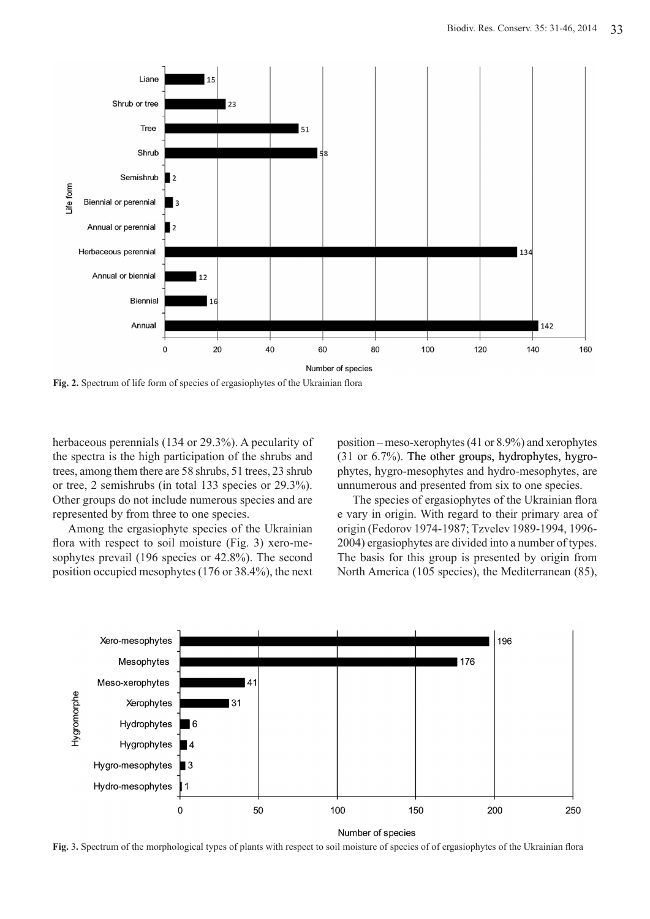

**Fig. 2.** Spectrum of life form of species of ergasiophytes of the Ukrainian flora

herbaceous perennials (134 or 29.3%). A pecularity of the spectra is the high participation of the shrubs and trees, among them there are 58 shrubs, 51 trees, 23 shrub or tree, 2 semishrubs (in total 133 species or 29.3%). Other groups do not include numerous species and are represented by from three to one species.

Among the ergasiophyte species of the Ukrainian flora with respect to soil moisture (Fig. 3) xero-mesophytes prevail (196 species or 42.8%). The second position occupied mesophytes (176 or 38.4%), the next position – meso-xerophytes (41 or 8.9%) and xerophytes (31 or 6.7%). The other groups, hydrophytes, hygrophytes, hygro-mesophytes and hydro-mesophytes, are unnumerous and presented from six to one species.

The species of ergasiophytes of the Ukrainian flora e vary in origin. With regard to their primary area of origin (Fedorov 1974-1987; Tzvelev 1989-1994, 1996- 2004) ergasiophytes are divided into a number of types. The basis for this group is presented by origin from North America (105 species), the Mediterranean (85),



**Fig.** 3**.** Spectrum of the morphological types of plants with respect to soil moisture of species of of ergasiophytes of the Ukrainian flora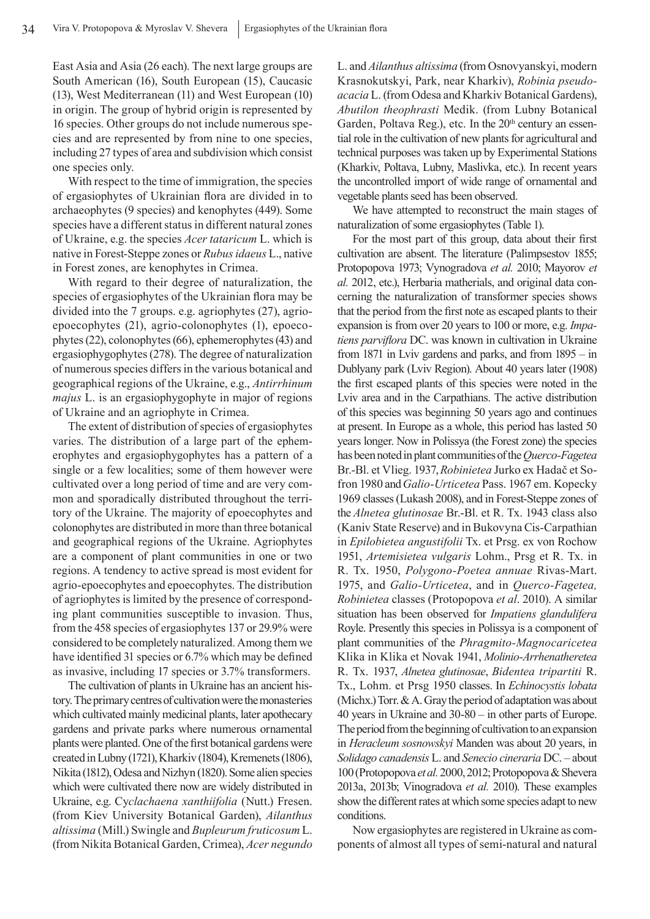East Asia and Asia (26 each). The next large groups are South American (16), South European (15), Caucasic (13), West Mediterranean (11) and West European (10) in origin. The group of hybrid origin is represented by 16 species. Other groups do not include numerous species and are represented by from nine to one species, including 27 types of area and subdivision which consist one species only.

With respect to the time of immigration, the species of ergasiophytes of Ukrainian flora are divided in to archaeophytes (9 species) and kenophytes (449). Some species have a different status in different natural zones of Ukraine, e.g. the species *Acer tataricum* L. which is native in Forest-Steppe zones or *Rubus idaeus* L., native in Forest zones, are kenophytes in Crimea.

With regard to their degree of naturalization, the species of ergasiophytes of the Ukrainian flora may be divided into the 7 groups. e.g. agriophytes (27), agrioepoecophytes (21), agrio-colonophytes (1), epoecophytes (22), colonophytes (66), ephemerophytes (43) and ergasiophygophytes (278). The degree of naturalization of numerous species differs in the various botanical and geographical regions of the Ukraine, e.g., *Antirrhinum majus* L. is an ergasiophygophyte in major of regions of Ukraine and an agriophyte in Crimea.

The extent of distribution of species of ergasiophytes varies. The distribution of a large part of the ephemerophytes and ergasiophygophytes has a pattern of a single or a few localities; some of them however were cultivated over a long period of time and are very common and sporadically distributed throughout the territory of the Ukraine. The majority of epoecophytes and colonophytes are distributed in more than three botanical and geographical regions of the Ukraine. Agriophytes are a component of plant communities in one or two regions. A tendency to active spread is most evident for agrio-epoecophytes and epoecophytes. The distribution of agriophytes is limited by the presence of corresponding plant communities susceptible to invasion. Thus, from the 458 species of ergasiophytes 137 or 29.9% were considered to be completely naturalized. Among them we have identified 31 species or 6.7% which may be defined as invasive, including 17 species or 3.7% transformers.

The cultivation of plants in Ukraine has an ancient history. The primary centres of cultivation were the monasteries which cultivated mainly medicinal plants, later apothecary gardens and private parks where numerous ornamental plants were planted. One of the first botanical gardens were created in Lubny (1721), Kharkiv (1804), Kremenets (1806), Nikita (1812), Odesa and Nizhyn (1820). Some alien species which were cultivated there now are widely distributed in Ukraine, e.g. Су*claсhaena хаnthiifolia* (Nutt.) Fresen. (from Kiev University Botanical Garden), *Ailanthus altissima* (Mill.) Swingle and *Bupleurum fruticosum* L. (from Nikita Botanical Garden, Crimea), *Acer negundo*

L. and *Ailanthus altissima* (from Osnovyanskyi, modern Krasnokutskyi, Park, near Kharkiv), *Robinia pseudoacacia* L. (from Odesa and Kharkiv Botanical Gardens), *Abutilon theophrasti* Medik. (from Lubny Botanical Garden, Poltava Reg.), etc. In the 20<sup>th</sup> century an essential role in the cultivation of new plants for agricultural and technical purposes was taken up by Experimental Stations (Kharkiv, Poltava, Lubny, Maslivka, etc.). In recent years the uncontrolled import of wide range of ornamental and vegetable plants seed has been observed.

We have attempted to reconstruct the main stages of naturalization of some ergasiophytes (Table 1).

For the most part of this group, data about their first cultivation are absent. The literature (Palimpsestov 1855; Protopopova 1973; Vynogradova *et al.* 2010; Mayorov *et al.* 2012, etc.), Herbaria matherials, and original data concerning the naturalization of transformer species shows that the period from the first note as escaped plants to their expansion is from over 20 years to 100 or more, e.g. *Impatiens parviflora* DC. was known in cultivation in Ukraine from 1871 in Lviv gardens and parks, and from 1895 – in Dublyany park (Lviv Region). About 40 years later (1908) the first escaped plants of this species were noted in the Lviv area and in the Сarpathians. The active distribution of this species was beginning 50 years ago and continues at present. In Europe as a whole, this period has lasted 50 years longer. Now in Polissya (the Forest zone) the species has been noted in plant communities of the *Querco-Fagetea*  Br.-Bl. et Vlieg. 1937, *Robinietea* Jurko ex Hadač et Sofron 1980 and *Galio-Urticetea* Pass. 1967 em. Kopecky 1969 classes (Lukash 2008), and in Forest-Steppe zones of the *Alnetea glutinosae* Br.-Bl. et R. Tx. 1943 class also (Kaniv State Reserve) and in Bukovyna Cis-Carpathian in *Epilobietea angustifolii* Tx. et Prsg. ex von Rochow 1951, *Artemisietea vulgaris* Lohm., Prsg et R. Tx. in R. Tx. 1950, *Polygono-Poetea annuae* Rivas-Mart. 1975, and *Galio-Urticetea*, and in *Querco-Fagetea, Robinietea* classes (Protopopova *et al*. 2010). A similar situation has been observed for *Impatiens glandulifera*  Royle. Presently this species in Polissya is a component of plant communities of the *Phragmito-Magnocaricetea* Klika in Klika et Novak 1941, *Molinio-Arrhenatheretea*  R. Tx. 1937, *Alnetea glutinosae*, *Bidentea tripartiti* R. Tx., Lohm. et Prsg 1950 classes. In *Echinocystis lobata* (Michx.) Torr. & A. Gray the period of adaptation was about 40 years in Ukraine and 30-80 – in other parts of Europe. The period from the beginning of cultivation to an expansion in *Heracleum sosnowskyi* Manden was about 20 years, in *Solidago canadensis* L. and *Senecio cineraria* DC. – about 100 (Protopopova *et al.* 2000, 2012; Protopopova & Shevera 2013a, 2013b; Vinogradova *et al.* 2010). These examples show the different rates at which some species adapt to new conditions.

Now ergasiophytes are registered in Ukraine as components of almost all types of semi-natural and natural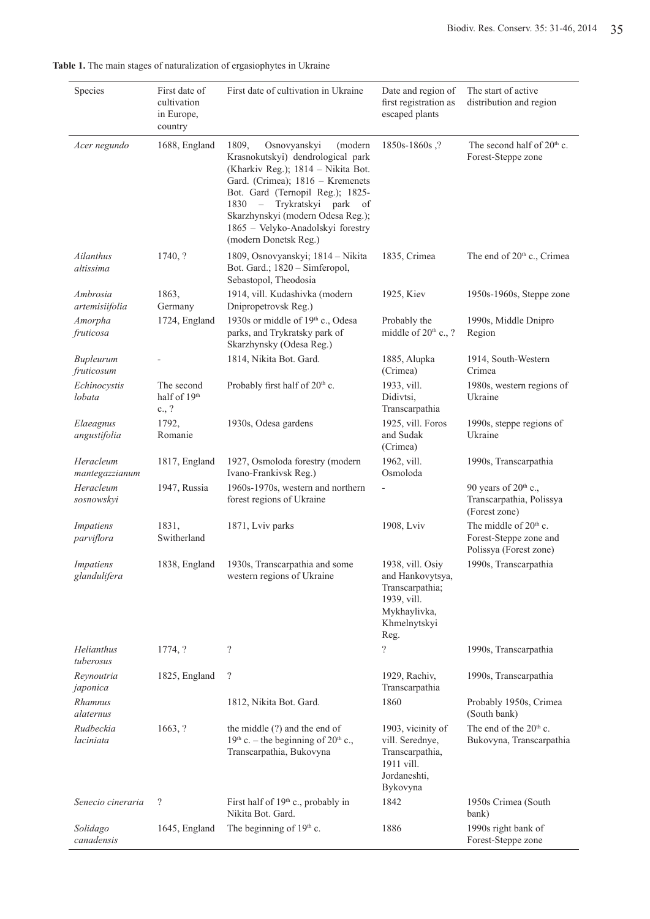| Species                          | First date of<br>cultivation<br>in Europe,<br>country | First date of cultivation in Ukraine                                                                                                                                                                                                                                                                                 | Date and region of<br>first registration as<br>escaped plants                                                  | The start of active<br>distribution and region                                        |
|----------------------------------|-------------------------------------------------------|----------------------------------------------------------------------------------------------------------------------------------------------------------------------------------------------------------------------------------------------------------------------------------------------------------------------|----------------------------------------------------------------------------------------------------------------|---------------------------------------------------------------------------------------|
| Acer negundo                     | 1688, England                                         | 1809,<br>Osnovyanskyi<br>(modern<br>Krasnokutskyi) dendrological park<br>(Kharkiv Reg.); 1814 - Nikita Bot.<br>Gard. (Crimea); 1816 - Kremenets<br>Bot. Gard (Ternopil Reg.); 1825-<br>1830 - Trykratskyi park of<br>Skarzhynskyi (modern Odesa Reg.);<br>1865 - Velyko-Anadolskyi forestry<br>(modern Donetsk Reg.) | 1850s-1860s,?                                                                                                  | The second half of 20 <sup>th</sup> c.<br>Forest-Steppe zone                          |
| Ailanthus<br>altissima           | 1740, ?                                               | 1809, Osnovyanskyi; 1814 - Nikita<br>Bot. Gard.; 1820 - Simferopol,<br>Sebastopol, Theodosia                                                                                                                                                                                                                         | 1835, Crimea                                                                                                   | The end of 20 <sup>th</sup> c., Crimea                                                |
| Ambrosia<br>artemisiifolia       | 1863,<br>Germany                                      | 1914, vill. Kudashivka (modern<br>Dnipropetrovsk Reg.)                                                                                                                                                                                                                                                               | 1925, Kiev                                                                                                     | 1950s-1960s, Steppe zone                                                              |
| Amorpha<br>fruticosa             | 1724, England                                         | 1930s or middle of 19th c., Odesa<br>parks, and Trykratsky park of<br>Skarzhynsky (Odesa Reg.)                                                                                                                                                                                                                       | Probably the<br>middle of 20 <sup>th</sup> c., ?                                                               | 1990s, Middle Dnipro<br>Region                                                        |
| Bupleurum<br>fruticosum          |                                                       | 1814, Nikita Bot. Gard.                                                                                                                                                                                                                                                                                              | 1885, Alupka<br>(Crimea)                                                                                       | 1914, South-Western<br>Crimea                                                         |
| Echinocystis<br>lobata           | The second<br>half of 19th<br>c., ?                   | Probably first half of 20 <sup>th</sup> c.                                                                                                                                                                                                                                                                           | 1933, vill.<br>Didivtsi,<br>Transcarpathia                                                                     | 1980s, western regions of<br>Ukraine                                                  |
| Elaeagnus<br>angustifolia        | 1792,<br>Romanie                                      | 1930s, Odesa gardens                                                                                                                                                                                                                                                                                                 | 1925, vill. Foros<br>and Sudak<br>(Crimea)                                                                     | 1990s, steppe regions of<br>Ukraine                                                   |
| Heracleum<br>mantegazzianum      | 1817, England                                         | 1927, Osmoloda forestry (modern<br>Ivano-Frankivsk Reg.)                                                                                                                                                                                                                                                             | 1962, vill.<br>Osmoloda                                                                                        | 1990s, Transcarpathia                                                                 |
| Heracleum<br>sosnowskyi          | 1947, Russia                                          | 1960s-1970s, western and northern<br>forest regions of Ukraine                                                                                                                                                                                                                                                       |                                                                                                                | 90 years of $20th$ c.,<br>Transcarpathia, Polissya<br>(Forest zone)                   |
| <b>Impatiens</b><br>parviflora   | 1831,<br>Switherland                                  | 1871, Lviv parks                                                                                                                                                                                                                                                                                                     | 1908, Lviv                                                                                                     | The middle of 20 <sup>th</sup> c.<br>Forest-Steppe zone and<br>Polissya (Forest zone) |
| <i>Impatiens</i><br>glandulifera | 1838, England                                         | 1930s, Transcarpathia and some<br>western regions of Ukraine                                                                                                                                                                                                                                                         | 1938, vill. Osiy<br>and Hankovytsya,<br>Transcarpathia;<br>1939, vill.<br>Mykhaylivka,<br>Khmelnytskyi<br>Reg. | 1990s, Transcarpathia                                                                 |
| Helianthus<br>tuberosus          | 1774, ?                                               | $\overline{\mathcal{C}}$                                                                                                                                                                                                                                                                                             | $\gamma$                                                                                                       | 1990s, Transcarpathia                                                                 |
| Reynoutria<br>japonica           | 1825, England                                         | $\overline{\mathcal{L}}$                                                                                                                                                                                                                                                                                             | 1929, Rachiv,<br>Transcarpathia                                                                                | 1990s, Transcarpathia                                                                 |
| Rhamnus<br>alaternus             |                                                       | 1812, Nikita Bot. Gard.                                                                                                                                                                                                                                                                                              | 1860                                                                                                           | Probably 1950s, Crimea<br>(South bank)                                                |
| Rudbeckia<br>laciniata           | 1663, ?                                               | the middle (?) and the end of<br>$19th$ c. – the beginning of $20th$ c.,<br>Transcarpathia, Bukovyna                                                                                                                                                                                                                 | 1903, vicinity of<br>vill. Serednye,<br>Transcarpathia,<br>1911 vill.<br>Jordaneshti,<br>Bykovyna              | The end of the 20 <sup>th</sup> c.<br>Bukovyna, Transcarpathia                        |
| Senecio cineraria                | $\overline{\mathcal{L}}$                              | First half of 19 <sup>th</sup> c., probably in<br>Nikita Bot. Gard.                                                                                                                                                                                                                                                  | 1842                                                                                                           | 1950s Crimea (South<br>bank)                                                          |
| Solidago<br>canadensis           | 1645, England                                         | The beginning of 19th c.                                                                                                                                                                                                                                                                                             | 1886                                                                                                           | 1990s right bank of<br>Forest-Steppe zone                                             |

**Table 1.** The main stages of naturalization of ergasiophytes in Ukraine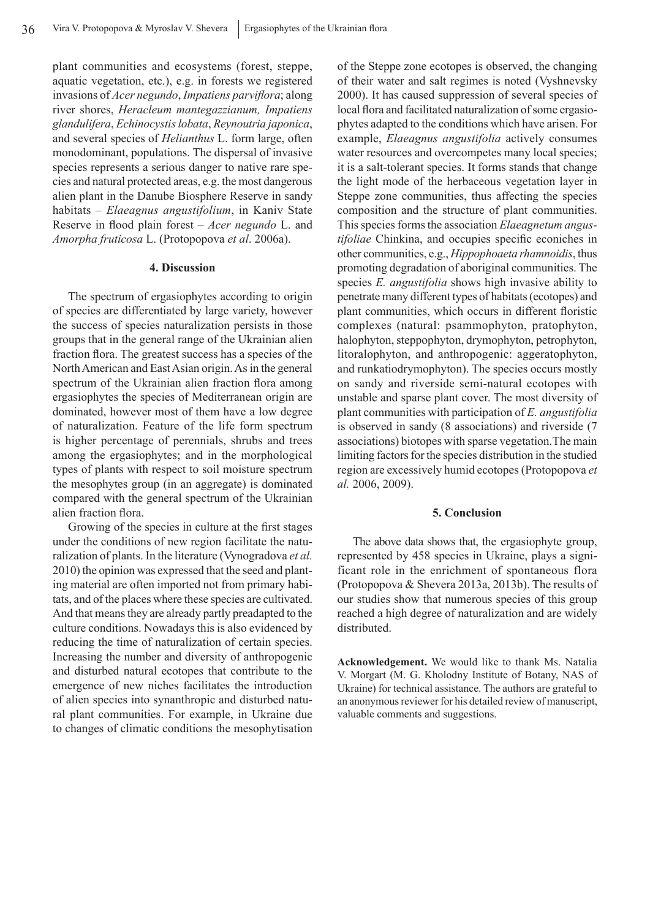plant communities and ecosystems (forest, steppe, aquatic vegetation, etc.), e.g. in forests we registered invasions of *Acer negundo*, *Impatiens parviflora*; along river shores, *Heracleum mantegazzianum, Impatiens glandulifera*, *Echinocystis lobata*, *Reynoutria japonica*, and several species of *Helianthus* L. form large, often monodominant, populations. The dispersal of invasive species represents a serious danger to native rare species and natural protected areas, e.g. the most dangerous alien plant in the Danube Biosphere Reserve in sandy habitats – *Elaeagnus angustifolium*, in Kaniv State Reserve in flood plain forest – *Acer negundo* L. and *Amorpha fruticosa* L. (Protopopova *et al*. 2006a).

# **4. Discussion**

The spectrum of ergasiophytes according to origin of species are differentiated by large variety, however the success of species naturalization persists in those groups that in the general range of the Ukrainian alien fraction flora. The greatest success has a species of the North American and East Asian origin. As in the general spectrum of the Ukrainian alien fraction flora among ergasiophytes the species of Mediterranean origin are dominated, however most of them have a low degree of naturalization. Feature of the life form spectrum is higher percentage of perennials, shrubs and trees among the ergasiophytes; and in the morphological types of plants with respect to soil moisture spectrum the mesophytes group (in an aggregate) is dominated compared with the general spectrum of the Ukrainian alien fraction flora.

Growing of the species in culture at the first stages under the conditions of new region facilitate the naturalization of plants. In the literature (Vynogradova *et al.* 2010) the opinion was expressed that the seed and planting material are often imported not from primary habitats, and of the places where these species are cultivated. And that means they are already partly preadapted to the culture conditions. Nowadays this is also evidenced by reducing the time of naturalization of certain species. Increasing the number and diversity of anthropogenic and disturbed natural ecotopes that contribute to the emergence of new niches facilitates the introduction of alien species into synanthropic and disturbed natural plant communities. For example, in Ukraine due to changes of climatic conditions the mesophytisation of the Steppe zone ecotopes is observed, the changing of their water and salt regimes is noted (Vyshnevsky 2000). It has caused suppression of several species of local flora and facilitated naturalization of some ergasiophytes adapted to the conditions which have arisen. For example, *Elaeagnus angustifolia* actively consumes water resources and overcompetes many local species; it is a salt-tolerant species. It forms stands that change the light mode of the herbaceous vegetation layer in Steppe zone communities, thus affecting the species composition and the structure of plant communities. This species forms the association *Elaeagnetum angustifoliae* Chinkina, and occupies specific econiches in other communities, e.g., *Hippophoaeta rhamnoidis*, thus promoting degradation of aboriginal communities. The species *E. angustifolia* shows high invasive ability to penetrate many different types of habitats (ecotopes) and plant communities, which occurs in different floristic complexes (natural: psammophyton, pratophyton, halophyton, steppophyton, drymophyton, petrophyton, litoralophyton, and anthropogenic: aggeratophyton, and runkatiodrymophyton). The species occurs mostly on sandy and riverside semi-natural ecotopes with unstable and sparse plant cover. The most diversity of plant communities with participation of *E. angustifolia* is observed in sandy (8 associations) and riverside (7 associations) biotopes with sparse vegetation.The main limiting factors for the species distribution in the studied region are excessively humid ecotopes (Protopopova *et al.* 2006, 2009).

#### **5. Conclusion**

The above data shows that, the ergasiophyte group, represented by 458 species in Ukraine, plays a significant role in the enrichment of spontaneous flora (Protopopova & Shevera 2013a, 2013b). The results of our studies show that numerous species of this group reached a high degree of naturalization and are widely distributed.

**Acknowledgement.** We would like to thank Ms. Natalia V. Morgart (M. G. Kholodny Institute of Botany, NAS of Ukraine) for technical assistance. The authors are grateful to an anonymous reviewer for his detailed review of manuscript, valuable comments and suggestions.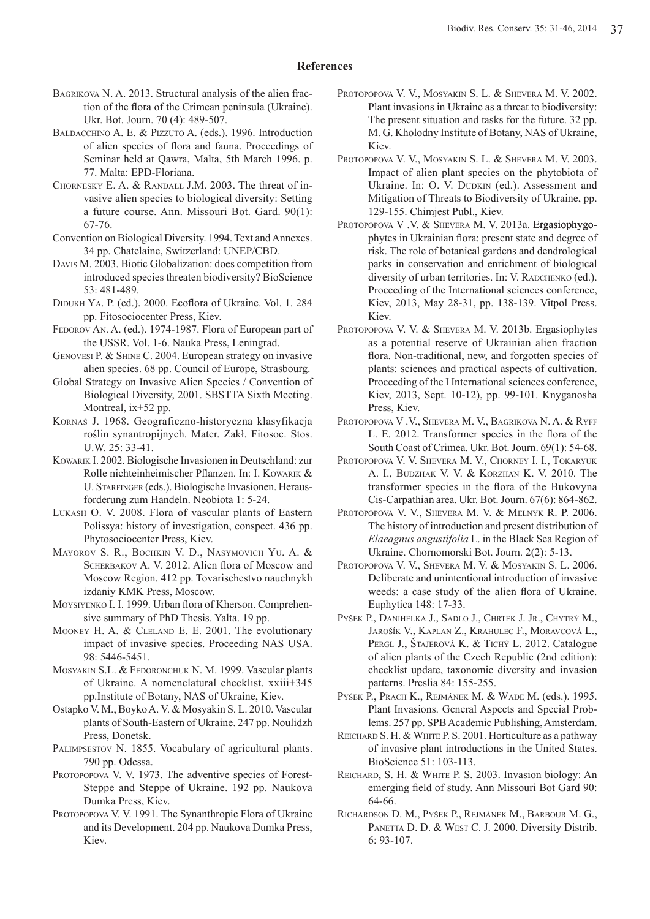# **References**

- BAGRIKOVA N. A. 2013. Structural analysis of the alien fraction of the flora of the Crimean peninsula (Ukraine). Ukr. Bot. Journ. 70 (4): 489-507.
- BALDACCHINO A. E. & PIZZUTO A. (eds.). 1996. Introduction of alien species of flora and fauna. Proceedings of Seminar held at Qawra, Malta, 5th March 1996. p. 77. Malta: EPD-Floriana.
- CHORNESKY E. A. & RANDALL J.M. 2003. The threat of invasive alien species to biological diversity: Setting a future course. Ann. Missouri Bot. Gard. 90(1): 67-76.
- Convention on Biological Diversity. 1994. Text and Annexes. 34 pp. Chatelaine, Switzerland: UNEP/CBD.
- Davis M. 2003. Biotic Globalization: does competition from introduced species threaten biodiversity? BioScience 53: 481-489.
- Didukh Ya. P. (ed.). 2000. Ecoflora of Ukraine. Vol. 1. 284 pp. Fitosociocenter Press, Kiev.
- FEDOROV AN. A. (ed.). 1974-1987. Flora of European part of the USSR. Vol. 1-6. Nauka Press, Leningrad.
- Genovesi P. & Shine C. 2004. European strategy on invasive alien species. 68 pp. Council of Europe, Strasbourg.
- Global Strategy on Invasive Alien Species / Convention of Biological Diversity, 2001. SBSTTA Sixth Meeting. Montreal, ix+52 pp.
- Kornaś J. 1968. Geograficzno-historyczna klasyfikacja roślin synantropijnych. Mater. Zakł. Fitosoc. Stos. U.W. 25: 33-41.
- KOWARIK I. 2002. Biologische Invasionen in Deutschland: zur Rolle nichteinheimischer Pflanzen. In: I. Kowarik & U. Starfinger (eds.). Biologische Invasionen. Herausforderung zum Handeln. Neobiota 1: 5-24.
- Lukash O. V. 2008. Flora of vascular plants of Eastern Polissya: history of investigation, conspect. 436 pp. Phytosociocenter Press, Kiev.
- Mayorov S. R., Bochkin V. D., Nasymovich Yu. A. & SCHERBAKOV A. V. 2012. Alien flora of Moscow and Moscow Region. 412 pp. Tovarischestvo nauchnykh izdaniy KMK Press, Moscow.
- Moysiyenko І. І. 1999. Urban flora of Kherson. Comprehensive summary of PhD Thesis. Yalta. 19 pp.
- Mooney H. A. & Cleland E. E. 2001. The evolutionary impact of invasive species. Proceeding NAS USA. 98: 5446-5451.
- MOSYAKIN S.L. & FEDORONCHUK N. M. 1999. Vascular plants of Ukraine. A nomenclatural checklist. xxiii+345 pp.Institute of Botany, NAS of Ukraine, Kiev.
- Ostapko V. M., Boyko A. V. & Mosyakin S. L. 2010. Vascular plants of South-Eastern of Ukraine. 247 pp. Noulidzh Press, Donetsk.
- PALIMPSESTOV N. 1855. Vocabulary of agricultural plants. 790 pp. Odessa.
- Protopopova V. V. 1973. The adventive species of Forest-Steppe and Steppe of Ukraine. 192 pp. Naukova Dumka Press, Kiev.
- PROTOPOPOVA V. V. 1991. The Synanthropic Flora of Ukraine and its Development. 204 pp. Naukova Dumka Press, Kiev.
- Protopopova V. V., Mosyakin S. L. & Shevera M. V. 2002. Plant invasions in Ukraine as a threat to biodiversity: The present situation and tasks for the future. 32 pp. M. G. Kholodny Institute of Botany, NAS of Ukraine, Kiev.
- Protopopova V. V., Mosyakin S. L. & Shevera M. V. 2003. Impact of alien plant species on the phytobiota of Ukraine. In: O. V. DUDKIN (ed.). Assessment and Mitigation of Threats to Biodiversity of Ukraine, pp. 129-155. Chimjest Publ., Kiev.
- PROTOPOPOVA V .V. & SHEVERA M. V. 2013a. Ergasiophygophytes in Ukrainian flora: present state and degree of risk. The role of botanical gardens and dendrological parks in conservation and enrichment of biological diversity of urban territories. In: V. RADCHENKO (ed.). Proceeding of the International sciences conference, Kiev, 2013, May 28-31, pp. 138-139. Vitpol Press. Kiev.
- PROTOPOPOVA V. V. & SHEVERA M. V. 2013b. Ergasiophytes as a potential reserve of Ukrainian alien fraction flora. Non-traditional, new, and forgotten species of plants: sciences and practical aspects of cultivation. Proceeding of the I International sciences conference, Kiev, 2013, Sept. 10-12), pp. 99-101. Knyganosha Press, Kiev.
- Protopopova V .V., Shevera M. V., Bagrikova N. A. & Ryff L. E. 2012. Transformer species in the flora of the South Coast of Crimea. Ukr. Bot. Journ. 69(1): 54-68.
- Protopopova V. V. Shevera M. V., Chorney I. I., Tokaryuk A. I., Budzhak V. V. & Korzhan K. V. 2010. The transformer species in the flora of the Bukovyna Cis-Carpathian area. Ukr. Bot. Journ. 67(6): 864-862.
- PROTOPOPOVA V. V., SHEVERA M. V. & MELNYK R. P. 2006. The history of introduction and present distribution of *Elaeagnus angustifolia* L. in the Black Sea Region of Ukraine. Chornomorski Bot. Journ. 2(2): 5-13.
- PROTOPOPOVA V. V., SHEVERA M. V. & MOSYAKIN S. L. 2006. Deliberate and unintentional introduction of invasive weeds: a case study of the alien flora of Ukraine. Euphytica 148: 17-33.
- Pyšek P., Danihelka J., Sádlo J., Chrtek J. Jr., Chytrý M., Jaroší<sup>k</sup> V., Kaplan Z., Krahulec F., Moravcová L., PERGL J., ŠTAJEROVÁ K. & TICHÝ L. 2012. Catalogue of alien plants of the Czech Republic (2nd edition): checklist update, taxonomic diversity and invasion patterns. Preslia 84: 155-255.
- Pyšek P., Prach K., Rejmánek M. & Wade M. (eds.). 1995. Plant Invasions. General Aspects and Special Problems. 257 pp. SPB Academic Publishing, Amsterdam.
- Reichard S. H. & White P. S. 2001. Horticulture as a pathway of invasive plant introductions in the United States. BioScience 51: 103-113.
- Reichard, S. H. & White P. S. 2003. Invasion biology: An emerging field of study. Ann Missouri Bot Gard 90: 64-66.
- Richardson D. M., Pyšek Р., Rejmánek М., Barbour M. G., PANETTA D. D. & WEST C. J. 2000. Diversity Distrib. 6: 93-107.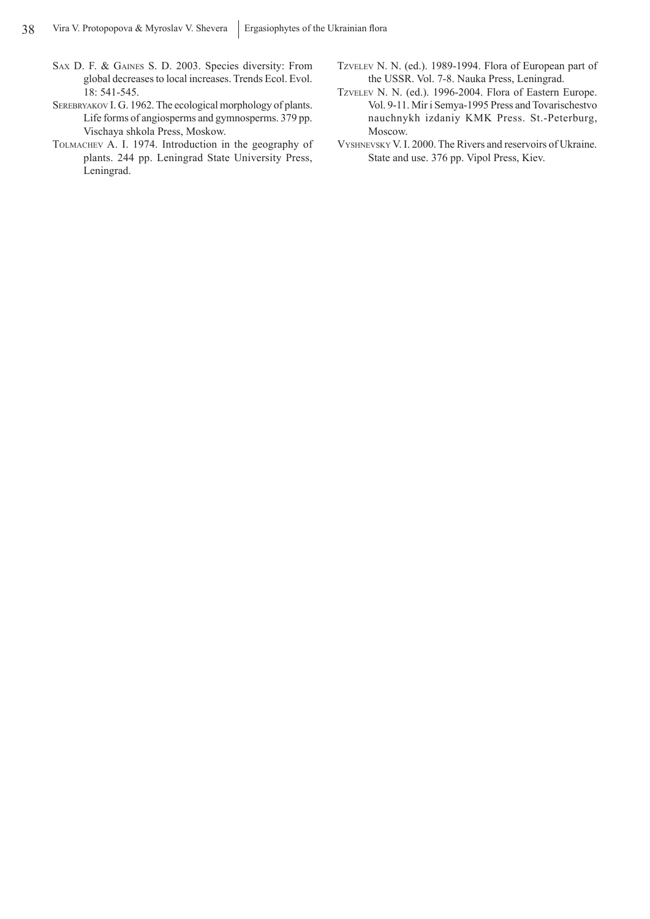- Sax D. F. & Gaines S. D. 2003. Species diversity: From global decreases to local increases. Trends Ecol. Evol. 18: 541-545.
- SEREBRYAKOV I. G. 1962. The ecological morphology of plants. Life forms of angiosperms and gymnosperms. 379 pp. Vischaya shkola Press, Moskow.
- Tolmachev A. I. 1974. Introduction in the geography of plants. 244 pp. Leningrad State University Press, Leningrad.
- Tzvelev N. N. (ed.). 1989-1994. Flora of European part of the USSR. Vol. 7-8. Nauka Press, Leningrad.
- Tzvelev N. N. (ed.). 1996-2004. Flora of Eastern Europe. Vol. 9-11. Mir i Semya-1995 Press and Tovarischestvo nauchnykh izdaniy KMK Press. St.-Peterburg, Moscow.
- Vyshnevsky V. I. 2000. The Rivers and reservoirs of Ukraine. State and use. 376 pp. Vipol Press, Kiev.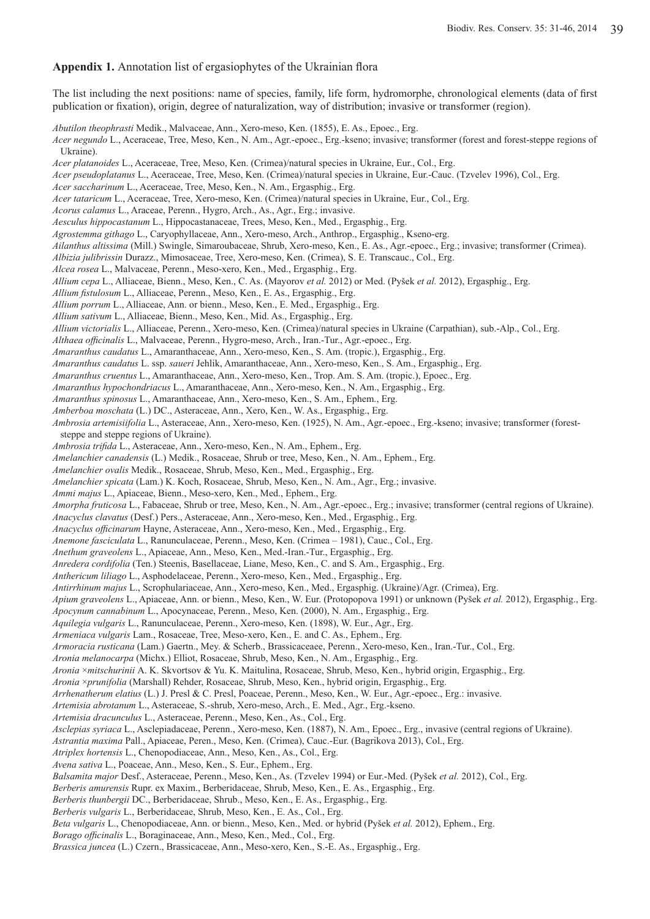#### **Appendix 1.** Annotation list of ergasiophytes of the Ukrainian flora

The list including the next positions: name of species, family, life form, hydromorphe, chronological elements (data of first publication or fixation), origin, degree of naturalization, way of distribution; invasive or transformer (region).

*Abutilon theophrasti* Medik., Malvaceae, Ann., Xero-meso, Ken. (1855), E. As., Epoec., Erg.

- *Acer negundo* L., Aceraceae, Tree, Meso, Ken., N. Am., Agr.-epoec., Erg.-kseno; invasive; transformer (forest and forest-steppe regions of Ukraine).
- *Acer platanoides* L., Aceraceae, Tree, Meso, Ken. (Crimea)/natural species in Ukraine, Eur., Col., Erg.
- *Acer pseudoplatanus* L., Aceraceae, Tree, Meso, Ken. (Crimea)/natural species in Ukraine, Eur.-Cauc. (Tzvelev 1996), Col., Erg.
- *Acer saccharinum* L., Aceraceae, Tree, Meso, Ken., N. Am., Ergasphig., Erg.
- *Acer tataricum* L., Aceraceae, Tree, Xero-meso, Ken. (Crimea)/natural species in Ukraine, Eur., Col., Erg.
- *Acorus calamus* L., Araceae, Perenn., Hygro, Arch., As., Agr., Erg.; invasive.
- *Aesculus hippocastanum* L., Hippocastanaceae, Trees, Meso, Ken., Med., Ergasphig., Erg.
- *Agrostemma githago* L., Caryophyllaceae, Ann., Xero-meso, Arch., Anthrop., Ergasphig., Kseno-erg.
- *Ailanthus altissima* (Mill.) Swingle, Simaroubaceae, Shrub, Xero-meso, Ken., E. As., Agr.-epoec., Erg.; invasive; transformer (Crimea).
- *Albizia julibrissin* Durazz., Mimosaceae, Tree, Xero-meso, Ken. (Crimea), S. E. Transcauc., Col., Erg.
- *Alcea rosea* L., Malvaceae, Perenn., Meso-xero, Ken., Med., Ergasphig., Erg.
- *Allium cepa* L., Alliaceae, Bienn., Meso, Ken., C. As. (Mayorov *et al.* 2012) or Med. (Pyšek *et al.* 2012), Ergasphig., Erg.
- *Allium fistulosum* L., Alliaceae, Perenn., Meso, Ken., E. As., Ergasphig., Erg.
- *Allium porrum* L., Alliaceae, Ann. or bienn., Meso, Ken., E. Med., Ergasphig., Erg.
- *Allium sativum* L., Alliaceae, Bienn., Meso, Ken., Mid. As., Ergasphig., Erg.
- *Allium victorialis* L., Alliaceae, Perenn., Xero-meso, Ken. (Crimea)/natural species in Ukraine (Carpathian), sub.-Alp., Col., Erg.
- *Althaea officinalis* L., Malvaceae, Perenn., Hygro-meso, Arch., Iran.-Tur., Agr.-epoec., Erg.
- *Amaranthus caudatus* L., Amaranthaceae, Ann., Xero-meso, Ken., S. Am. (tropic.), Ergasphig., Erg.
- *Amaranthus caudatus* L. ssp. *saueri* Jehlik, Amaranthaceae, Ann., Xero-meso, Ken., S. Am., Ergasphig., Erg.
- *Amaranthus cruentus* L., Amaranthaceae, Ann., Xero-meso, Ken., Trop. Am. S. Am. (tropic.), Epoec., Erg.
- *Amaranthus hypochondriacus* L., Amaranthaceae, Ann., Xero-meso, Ken., N. Am., Ergasphig., Erg.
- *Amaranthus spinosus* L., Amaranthaceae, Ann., Xero-meso, Ken., S. Am., Ephem., Erg.
- *Amberboa moschata* (L.) DC., Asteraceae, Ann., Xero, Ken., W. As., Ergasphig., Erg.
- *Ambrosia artemisiifolia* L., Asteraceae, Ann., Xero-meso, Ken. (1925), N. Am., Agr.-epoec., Erg.-kseno; invasive; transformer (foreststeppe and steppe regions of Ukraine).
- *Ambrosia trifida* L., Asteraceae, Ann., Xero-meso, Ken., N. Am., Ephem., Erg.
- *Amelanchier canadensis* (L.) Medik., Rosaceae, Shrub or tree, Meso, Ken., N. Am., Ephem., Erg.
- *Amelanchier ovalis* Medik., Rosaceae, Shrub, Meso, Ken., Med., Ergasphig., Erg.
- *Amelanchier spicata* (Lam.) K. Koch, Rosaceae, Shrub, Meso, Ken., N. Am., Agr., Erg.; invasive.
- *Ammi majus* L., Apiaceae, Bienn., Meso-xero, Ken., Med., Ephem., Erg.
- *Amorpha fruticosa* L., Fabaceae, Shrub or tree, Meso, Ken., N. Am., Agr.-epoec., Erg.; invasive; transformer (central regions of Ukraine).
- *Anacyclus clavatus* (Desf.) Pers., Asteraceae, Ann., Xero-meso, Ken., Med., Ergasphig., Erg.
- *Anacyclus officinarum* Hayne, Asteraceae, Ann., Xero-meso, Ken., Med., Ergasphig., Erg.
- *Anemone fasciculata* L., Ranunculaceae, Perenn., Meso, Ken. (Crimea 1981), Cauc., Col., Erg.
- *Anethum graveolens* L., Apiaceae, Ann., Meso, Ken., Med.-Iran.-Tur., Ergasphig., Erg.
- *Anredera cordifolia* (Ten.) Steenis, Basellaceae, Liane, Meso, Ken., C. and S. Am., Ergasphig., Erg.
- *Anthericum liliago* L., Asphodelaceae, Perenn., Xero-meso, Ken., Med., Ergasphig., Erg.
- *Antirrhinum majus* L., Scrophulariaceae, Ann., Xero-meso, Ken., Med., Ergasphig. (Ukraine)/Agr. (Crimea), Erg.
- *Apium graveolens* L., Apiaceae, Ann. or bienn., Meso, Ken., W. Eur. (Protopopova 1991) or unknown (Pyšek *et al.* 2012), Ergasphig., Erg.
- *Apocynum cannabinum* L., Apocynaceae, Perenn., Meso, Ken. (2000), N. Am., Ergasphig., Erg.
- *Aquilegia vulgaris* L., Ranunculaceae, Perenn., Xero-meso, Ken. (1898), W. Eur., Agr., Erg.
- *Armeniaca vulgaris* Lam., Rosaceae, Tree, Meso-xero, Ken., E. and C. As., Ephem., Erg.
- *Armoracia rusticana* (Lam.) Gaertn., Mey. & Scherb., Brassicaceaee, Perenn., Xero-meso, Ken., Iran.-Tur., Col., Erg.
- *Aronia melanocarpa* (Michx.) Elliot, Rosaceae, Shrub, Meso, Ken., N. Am., Ergasphig., Erg.
- *Aronia* ×*mitschurinii* A. K. Skvortsov & Yu. K. Maitulina, Rosaceae, Shrub, Meso, Ken., hybrid origin, Ergasphig., Erg.
- *Aronia* ×*prunifolia* (Marshall) Rehder, Rosaceae, Shrub, Meso, Ken., hybrid origin, Ergasphig., Erg.
- *Arrhenatherum elatius* (L.) J. Presl & C. Presl, Poaceae, Perenn., Meso, Ken., W. Eur., Agr.-epoec., Erg.: invasive.
- *Artemisia abrotanum* L., Asteraceae, S.-shrub, Xero-meso, Arch., E. Med., Agr., Erg.-kseno.
- *Artemisia dracunculus* L., Asteraceae, Perenn., Meso, Ken., As., Col., Erg.
- *Asclepias syriaca* L., Asclepiadaceae, Perenn., Xero-meso, Ken. (1887), N. Am., Epoec., Erg., invasive (central regions of Ukraine).
- *Astrantia maxima* Pall., Apiaceae, Peren., Meso, Ken. (Crimea), Cauc.-Eur. (Bagrikova 2013), Col., Erg.
- *Atriplex hortensis* L., Chenopodiaceae, Ann., Meso, Ken., As., Col., Erg.
- *Avena sativa* L., Poaceae, Ann., Meso, Ken., S. Eur., Ephem., Erg.
- *Balsamita major* Desf., Asteraceae, Perenn., Meso, Ken., As. (Tzvelev 1994) or Eur.-Med. (Pyšek *et al.* 2012), Col., Erg.
- *Berberis amurensis* Rupr. ex Maxim., Berberidaceae, Shrub, Meso, Ken., E. As., Ergasphig., Erg.
- *Berberis thunbergii* DC., Berberidaceae, Shrub., Meso, Ken., E. As., Ergasphig., Erg.
- *Berberis vulgaris* L., Berberidaceae, Shrub, Meso, Ken., E. As., Col., Erg.
- *Beta vulgaris* L., Chenopodiaceae, Ann. or bienn., Meso, Ken., Med. or hybrid (Pyšek *et al.* 2012), Ephem., Erg.
- *Borago officinalis* L., Boraginaceae, Ann., Meso, Ken., Med., Col., Erg.
- *Brassica juncea* (L.) Czern., Brassicaceae, Ann., Meso-xero, Ken., S.-E. As., Ergasphig., Erg.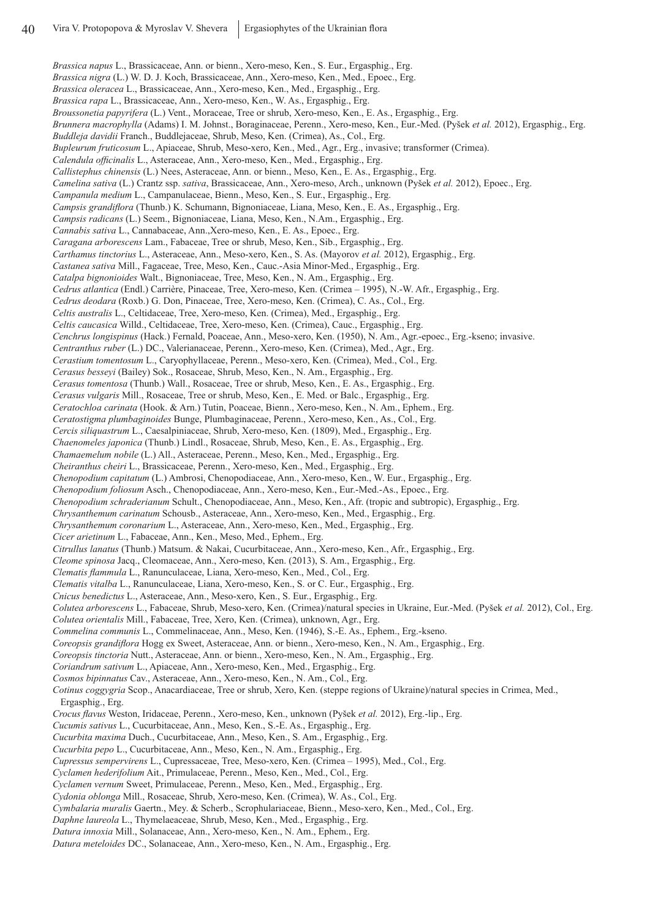*Brassica napus* L., Brassicaceae, Ann. or bienn., Xero-meso, Ken., S. Eur., Ergasphig., Erg.

*Brassica nigra* (L.) W. D. J. Koch, Brassicaceae, Ann., Xero-meso, Ken., Med., Epoec., Erg.

*Brassica oleracea* L., Brassicaceae, Ann., Xero-meso, Ken., Med., Ergasphig., Erg.

*Brassica rapa* L., Brassicaceae, Ann., Xero-meso, Ken., W. As., Ergasphig., Erg.

*Broussonetia papyrifera* (L.) Vent., Moraceae, Tree or shrub, Xero-meso, Ken., E. As., Ergasphig., Erg.

*Brunnera macrophylla* (Adams) I. M. Johnst., Boraginaceae, Perenn., Xero-meso, Ken., Eur.-Med. (Pyšek *et al.* 2012), Ergasphig., Erg. *Buddleja davidii* Franch., Buddlejaceae, Shrub, Meso, Ken. (Crimea), As., Сol., Erg.

*Bupleurum fruticosum* L., Apiaceae, Shrub, Meso-xero, Ken., Med., Agr., Erg., invasive; transformer (Crimea).

*Calendula officinalis* L., Asteraceae, Ann., Xero-meso, Ken., Med., Ergasphig., Erg.

*Callistephus chinensis* (L.) Nees, Asteraceae, Ann. or bienn., Meso, Ken., E. As., Ergasphig., Erg.

*Camelina sativa* (L.) Crantz ssp. *sativa*, Brassicaceae, Ann., Xero-meso, Arch., unknown (Pyšek *et al.* 2012), Epoec., Erg.

*Campanula medium* L., Campanulaceae, Bienn., Meso, Ken., S. Eur., Ergasphig., Erg.

*Campsis grandiflora* (Thunb.) K. Schumann, Bignoniaceae, Liana, Meso, Ken., E. As., Ergasphig., Erg.

*Campsis radicans* (L.) Seem., Bignoniaceae, Liana, Meso, Ken., N.Am., Ergasphig., Erg.

*Cannabis sativa* L., Cannabaceae, Ann.,Xero-meso, Ken., E. As., Epoec., Erg.

*Caragana arborescens* Lam., Fabaceae, Tree or shrub, Meso, Ken., Sib., Ergasphig., Erg.

*Carthamus tinctorius* L., Asteraceae, Ann., Meso-xero, Ken., S. As. (Mayorov *et al.* 2012), Ergasphig., Erg.

*Castanea sativa* Mill., Fagaceae, Tree, Meso, Ken., Cauc.-Asia Minor-Med., Ergasphig., Erg.

*Catalpa bignonioides* Walt., Bignoniaceae, Tree, Meso, Ken., N. Am., Ergasphig., Erg.

*Cedrus atlantica* (Endl.) Carrière, Pinaceae, Tree, Xero-meso, Ken. (Crimea – 1995), N.-W. Afr., Ergasphig., Erg.

*Cedrus deodara* (Roxb.) G. Don, Pinaceae, Tree, Xero-meso, Ken. (Crimea), C. As., Сol., Erg.

*Celtis australis* L., Celtidaceae, Tree, Xero-meso, Ken. (Crimea), Med., Ergasphig., Erg.

*Celtis caucasica* Willd., Celtidaceae, Tree, Xero-meso, Ken. (Crimea), Cauc., Ergasphig., Erg.

*Cenchrus longispinus* (Hack.) Fernald, Poaceae, Ann., Meso-xero, Ken. (1950), N. Am., Agr.-epoec., Erg.-kseno; invasive.

*Centranthus ruber* (L.) DC., Valerianaceae, Perenn., Xero-meso, Ken. (Crimea), Med., Agr., Erg.

*Cerastium tomentosum* L., Caryophyllaceae, Perenn., Meso-xero, Ken. (Crimea), Med., Col., Erg.

*Cerasus besseyi* (Bailey) Sok., Rosaceae, Shrub, Meso, Ken., N. Am., Ergasphig., Erg.

*Cerasus tomentosa* (Thunb.) Wall., Rosaceae, Tree or shrub, Meso, Ken., E. As., Ergasphig., Erg.

*Cerasus vulgaris* Mill., Rosaceae, Tree or shrub, Meso, Ken., E. Med. or Balc., Ergasphig., Erg.

*Ceratochloa carinata* (Hook. & Arn.) Tutin, Poaceae, Bienn., Xero-meso, Ken., N. Am., Ephem., Erg.

*Ceratostigma plumbaginoides* Bunge, Plumbaginaceae, Perenn., Xero-meso, Ken., As., Col., Erg.

*Cercis siliquastrum* L., Caesalpiniaceae, Shrub, Xero-meso, Ken. (1809), Med., Ergasphig., Erg.

*Chaenomeles japonica* (Thunb.) Lindl., Rosaceae, Shrub, Meso, Ken., E. As., Ergasphig., Erg.

*Chamaemelum nobile* (L.) All., Asteraceae, Perenn., Meso, Ken., Med., Ergasphig., Erg.

*Cheiranthus cheiri* L., Brassicaceae, Perenn., Xero-meso, Ken., Med., Ergasphig., Erg.

*Chenopodium capitatum* (L.) Ambrosi, Chenopodiaceae, Ann., Xero-meso, Ken., W. Eur., Ergasphig., Erg.

*Chenopodium foliosum* Asch., Chenopodiaceae, Ann., Xero-meso, Ken., Eur.-Med.-As., Epoec., Erg.

*Chenopodium schraderianum* Schult., Chenopodiaceae, Ann., Meso, Ken., Afr. (tropic and subtropic), Ergasphig., Erg.

*Chrysanthemum carinatum* Schousb., Asteraceae, Ann., Xero-meso, Ken., Med., Ergasphig., Erg.

*Chrysanthemum coronarium* L., Asteraceae, Ann., Xero-meso, Ken., Med., Ergasphig., Erg.

*Cicer arietinum* L., Fabaceae, Ann., Ken., Meso, Med., Ephem., Erg.

*Citrullus lanatus* (Thunb.) Matsum. & Nakai, Cucurbitaceae, Ann., Xero-meso, Ken., Afr., Ergasphig., Erg.

*Cleome spinosa* Jacq., Cleomaceae, Ann., Xero-meso, Ken. (2013), S. Am., Ergasphig., Erg.

*Clematis flammula* L., Ranunculaceae, Liana, Xero-meso, Ken., Med., Col., Erg.

*Clematis vitalba* L., Ranunculaceae, Liana, Xero-meso, Ken., S. or C. Eur., Ergasphig., Erg.

*Cnicus benedictus* L., Asteraceae, Ann., Meso-xero, Ken., S. Eur., Ergasphig., Erg.

*Colutea arborescens* L., Fabaceae, Shrub, Meso-xero, Ken. (Crimea)/natural species in Ukraine, Eur.-Med. (Pyšek *et al.* 2012), Col., Erg.

*Colutea orientalis* Mill., Fabaceae, Tree, Xero, Ken. (Crimea), unknown, Agr., Erg.

*Commelina communis* L., Сommelinaceae, Ann., Meso, Ken. (1946), S.-E. As., Ephem., Erg.-kseno.

*Coreopsis grandiflora* Hogg ex Sweet, Asteraceae, Ann. or bienn., Xero-meso, Ken., N. Am., Ergasphig., Erg.

*Coreopsis tinctoria* Nutt., Asteraceae, Ann. or bienn., Xero-meso, Ken., N. Am., Ergasphig., Erg.

*Coriandrum sativum* L., Apiaceae, Ann., Xero-meso, Ken., Med., Ergasphig., Erg.

*Cosmos bipinnatus* Cav., Asteraceae, Ann., Xero-meso, Ken., N. Am., Col., Erg.

*Cotinus coggygria* Scop., Anacardiaceae, Tree or shrub, Xero, Ken. (steppe regions of Ukraine)/natural species in Crimea, Med., Ergasphig., Erg.

*Crocus flavus* Weston, Iridaceae, Perenn., Xero-meso, Ken., unknown (Pyšek *et al.* 2012), Erg.-lip., Erg.

*Cucumis sativus* L., Cucurbitaceae, Ann., Meso, Ken., S.-E. As., Ergasphig., Erg.

*Cucurbita maxima* Duch., Cucurbitaceae, Ann., Meso, Ken., S. Am., Ergasphig., Erg.

- *Cucurbita pepo* L., Cucurbitaceae, Ann., Meso, Ken., N. Am., Ergasphig., Erg.
- *Cupressus sempervirens* L., Cupressaceae, Tree, Meso-xero, Ken. (Crimea 1995), Med., Col., Erg.
- *Cyclamen hederifolium* Ait., Primulaceae, Perenn., Meso, Ken., Med., Col., Erg.

*Cyclamen vernum* Sweet, Primulaceae, Perenn., Meso, Ken., Med., Ergasphig., Erg.

*Cydonia oblonga* Mill., Rosaceae, Shrub, Xero-meso, Ken. (Crimea), W. As., Col., Erg.

*Cymbalaria muralis* Gaertn., Mey. & Scherb., Scrophulariaceae, Bienn., Meso-xero, Ken., Med., Col., Erg.

*Daphne laureola* L., Thymelaeaceae, Shrub, Meso, Ken., Med., Ergasphig., Erg.

*Datura innoxia* Mill., Solanaceae, Ann., Xero-meso, Ken., N. Am., Ephem., Erg.

*Datura meteloides* DC., Solanaceae, Ann., Xero-meso, Ken., N. Am., Ergasphig., Erg.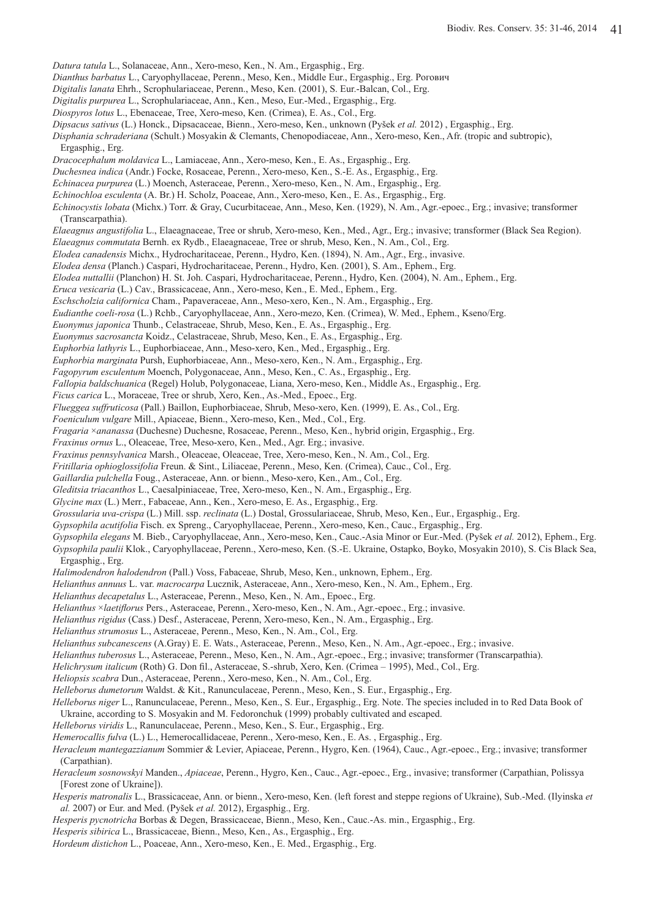- *Datura tatula* L., Solanaceae, Ann., Xero-meso, Ken., N. Am., Ergasphig., Erg.
- *Dianthus barbatus* L., Caryophyllaceae, Perenn., Meso, Ken., Middle Eur., Ergasphig., Erg. Рогович
- *Digitalis lanata* Ehrh., Scrophulariaceae, Perenn., Meso, Ken. (2001), S. Eur.-Balcan, Col., Erg.
- *Digitalis purpurea* L., Scrophulariaceae, Ann., Ken., Meso, Eur.-Med., Ergasphig., Erg.
- *Diospyros lotus* L., Ebenaceae, Tree, Xero-meso, Ken. (Crimea), E. As., Сol., Erg.
- *Dipsacus sativus* (L.) Honck., Dipsacaceae, Bienn., Xero-meso, Ken., unknown (Pyšek *et al.* 2012) , Ergasphig., Erg.
- *Disphania schraderiana* (Schult.) Mosyakin & Clemants, Chenopodiaceae, Ann., Xero-meso, Ken., Afr. (tropic and subtropic),
- Ergasphig., Erg.
- *Dracocephalum moldavica* L., Lamiaceae, Ann., Xero-meso, Ken., E. As., Ergasphig., Erg.
- *Duchesnea indica* (Andr.) Focke, Rosaceae, Perenn., Xero-meso, Ken., S.-E. As., Ergasphig., Erg.
- *Echinacea purpurea* (L.) Moench, Asteraceae, Perenn., Xero-meso, Ken., N. Am., Ergasphig., Erg.
- *Echinochloa esculenta* (A. Br.) H. Scholz, Poaceae, Ann., Xero-meso, Ken., E. As., Ergasphig., Erg.
- *Echinocystis lobata* (Michx.) Torr. & Gray, Cucurbitaceae, Ann., Meso, Ken. (1929), N. Am., Agr.-epoec., Erg.; invasive; transformer (Transcarpathia).
- *Elaeagnus angustifolia* L., Elaeagnaceae, Tree or shrub, Xero-meso, Ken., Med., Agr., Erg.; invasive; transformer (Black Sea Region).
- *Elaeagnus commutata* Bernh. ex Rydb., Elaeagnaceae, Tree or shrub, Meso, Ken., N. Am., Col., Erg.
- *Elodea canadensis* Michx., Hydrocharitaceae, Perenn., Hydro, Ken. (1894), N. Am., Agr., Erg., invasive.
- *Elodea densa* (Planch.) Caspari, Hydrocharitaceae, Perenn., Hydro, Ken. (2001), S. Am., Ephem., Erg.
- *Elodea nuttallii* (Planchon) H. St. Joh. Caspari, Hydrocharitaceae, Perenn., Hydro, Ken. (2004), N. Am., Ephem., Erg.
- *Eruca vesicaria* (L.) Cav., Brassicaceae, Ann., Xero-meso, Ken., E. Med., Ephem., Erg.
- *Eschscholzia californica* Cham., Papaveraceae, Ann., Meso-xero, Ken., N. Am., Ergasphig., Erg.
- *Eudianthe coeli-rosa* (L.) Rchb., Caryophyllaceae, Ann., Xero-mezo, Ken. (Crimea), W. Med., Ephem., Kseno/Erg.
- *Euonymus japonica* Thunb., Celastraceae, Shrub, Meso, Ken., E. As., Ergasphig., Erg.
- *Euonymus sacrosancta* Koidz., Celastraceae, Shrub, Meso, Ken., E. As., Ergasphig., Erg.
- *Euphorbia lathyris* L., Euphorbiaceae, Ann., Meso-xero, Ken., Med., Ergasphig., Erg.
- *Euphorbia marginata* Pursh, Euphorbiaceae, Ann., Meso-xero, Ken., N. Am., Ergasphig., Erg.
- *Fagopyrum esculentum* Moench, Polygonaceae, Ann., Meso, Ken., C. As., Ergasphig., Erg.
- *Fallopia baldschuanica* (Regel) Holub, Polygonaceae, Liana, Xero-meso, Ken., Middle As., Ergasphig., Erg.
- *Ficus carica* L., Moraceae, Tree or shrub, Xero, Ken., As.-Med., Epoec., Erg.
- *Flueggea suffruticosa* (Pall.) Baillon, Euphorbiaceae, Shrub, Meso-xero, Ken. (1999), E. As., Col., Erg.
- *Foeniculum vulgare* Mill., Apiaceae, Bienn., Xero-meso, Ken., Med., Col., Erg.
- *Fragaria* ×*ananassa* (Duchesne) Duchesne, Rosaceae, Perenn., Meso, Ken., hybrid origin, Ergasphig., Erg.
- *Fraxinus ornus* L., Oleaceae, Tree, Meso-xero, Ken., Med., Agr. Erg.; invasive.
- *Fraxinus pennsylvanica* Marsh., Oleaceae, Oleaceae, Tree, Xero-meso, Ken., N. Am., Сol., Erg.
- *Fritillaria ophioglossifolia* Freun. & Sint., Liliaceae, Perenn., Meso, Ken. (Crimea), Cauc., Col., Erg.
- *Gaillardia pulchella* Foug., Asteraceae, Ann. or bienn., Meso-xero, Ken., Am., Col., Erg.
- *Gleditsia triacanthos* L., Caesalpiniaceae, Tree, Xero-meso, Ken., N. Am., Ergasphig., Erg.
- *Glycine max* (L.) Merr., Fabaceae, Ann., Ken., Xero-meso, E. As., Ergasphig., Erg.
- *Grossularia uva-crispa* (L.) Mill. ssp. *reclinata* (L.) Dostal, Grossulariaceae, Shrub, Meso, Ken., Eur., Ergasphig., Erg.
- *Gypsophila acutifolia* Fisch. ex Spreng., Caryophyllaceae, Perenn., Xero-meso, Ken., Cauc., Ergasphig., Erg.
- *Gypsophila elegans* M. Bieb., Caryophyllaceae, Ann., Xero-meso, Ken., Cauc.-Asia Minor or Eur.-Med. (Pyšek *et al.* 2012), Ephem., Erg. *Gypsophila paulii* Klok., Caryophyllaceae, Perenn., Xero-meso, Ken. (S.-E. Ukraine, Ostapko, Boyko, Mosyakin 2010), S. Cis Black Sea,
	- Ergasphig., Erg.
- *Halimodendron halodendron* (Pall.) Voss, Fabaceae, Shrub, Meso, Ken., unknown, Ephem., Erg.
- *Helianthus annuus* L. var. *macrocarpa* Lucznik, Asteraceae, Ann., Xero-meso, Ken., N. Am., Ephem., Erg.
- *Helianthus decapetalus* L., Asteraceae, Perenn., Meso, Ken., N. Am., Epoec., Erg.
- *Helianthus* ×*laetiflorus* Pers., Asteraceae, Perenn., Xero-meso, Ken., N. Am., Agr.-epoec., Erg.; invasive.
- *Helianthus rigidus* (Cass.) Desf., Asteraceae, Perenn, Xero-meso, Ken., N. Am., Ergasphig., Erg.
- *Helianthus strumosus* L., Asteraceae, Perenn., Meso, Ken., N. Am., Сol., Erg.
- *Helianthus subcanescens* (A.Gray) E. E. Wats., Asteraceae, Perenn., Meso, Ken., N. Am., Agr.-epoec., Erg.; invasive.
- *Helianthus tuberosus* L., Asteraceae, Perenn., Meso, Ken., N. Am., Agr.-epoec., Erg.; invasive; transformer (Transcarpathia).
- *Helichrysum italicum* (Roth) G. Don fil., Asteraceae, S.-shrub, Xero, Ken. (Crimea 1995), Med., Col., Erg.
- *Heliopsis scabra* Dun., Asteraceae, Perenn., Xero-meso, Ken., N. Am., Col., Erg.
- *Helleborus dumetorum* Waldst. & Kit., Ranunculaceae, Perenn., Meso, Ken., S. Eur., Ergasphig., Erg.
- *Helleborus niger* L., Ranunculaceae, Perenn., Meso, Ken., S. Eur., Ergasphig., Erg. Note. The species included in to Red Data Book of
- Ukraine, according to S. Mosyakin and M. Fedoronchuk (1999) probably cultivated and escaped.
- *Helleborus viridis* L., Ranunculaceae, Perenn., Meso, Ken., S. Eur., Ergasphig., Erg.
- *Hemerocallis fulva* (L.) L., Hemerocallidaceae, Perenn., Xero-meso, Ken., E. As. , Ergasphig., Erg.
- *Heracleum mantegazzianum* Sommier & Levier, Apiaceae, Perenn., Hygro, Ken. (1964), Cauc., Agr.-epoec., Erg.; invasive; transformer (Carpathian).
- *Heracleum sosnowskyi* Manden., *Apiaceae*, Perenn., Hygro, Ken., Cauc., Agr.-epoec., Erg., invasive; transformer (Carpathian, Polissya [Forest zone of Ukraine]).
- *Hesperis matronalis* L., Brassicaceae, Ann. or bienn., Xero-meso, Ken. (left forest and steppe regions of Ukraine), Sub.-Med. (Ilyinska *et al.* 2007) or Eur. and Med. (Pyšek *et al.* 2012), Ergasphig., Erg.
- *Hesperis pycnotricha* Borbas & Degen, Brassicaceae, Bienn., Meso, Ken., Cauc.-As. min., Ergasphig., Erg.
- *Hesperis sibirica* L., Brassicaceae, Bienn., Meso, Ken., As., Ergasphig., Erg.
- *Hordeum distichon* L., Poaceae, Ann., Xero-meso, Ken., E. Med., Ergasphig., Erg.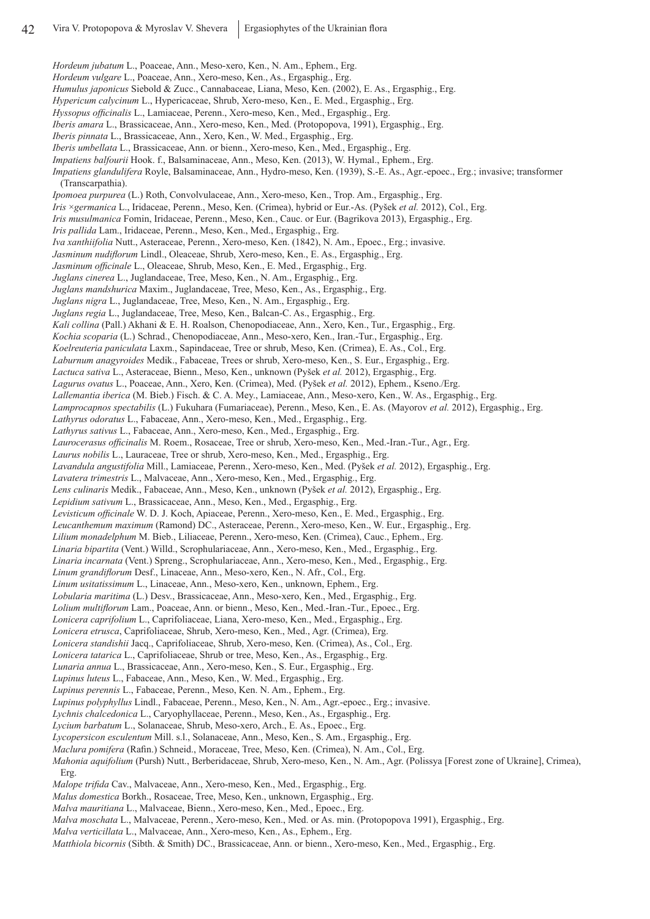*Hordeum jubatum* L., Poaceae, Ann., Meso-xero, Ken., N. Am., Ephem., Erg.

*Hordeum vulgare* L., Poaceae, Ann., Xero-meso, Ken., As., Ergasphig., Erg.

*Humulus japonicus* Siebold & Zucc., Cannabaceae, Liana, Meso, Ken. (2002), E. As., Ergasphig., Erg.

*Hypericum calycinum* L., Hypericaceae, Shrub, Xero-meso, Ken., E. Med., Ergasphig., Erg.

- *Hyssopus officinalis* L., Lamiaceae, Perenn., Xero-meso, Ken., Med., Ergasphig., Erg.
- *Iberis amara* L., Brassicaceae, Ann., Xero-meso, Ken., Med. (Protopopova, 1991), Ergasphig., Erg.
- *Iberis pinnata* L., Brassicaceae, Ann., Xero, Ken., W. Med., Ergasphig., Erg.
- *Iberis umbellata* L., Brassicaceae, Ann. or bienn., Xero-meso, Ken., Med., Ergasphig., Erg.
- *Impatiens balfourii* Hook. f., Balsaminaceae, Ann., Meso, Ken. (2013), W. Hymal., Ephem., Erg.
- *Impatiens glandulifera* Royle, Balsaminaceae, Ann., Hydro-meso, Ken. (1939), S.-E. As., Agr.-epoec., Erg.; invasive; transformer (Transcarpathia).
- *Ipomoea purpurea* (L.) Roth, Convolvulaceae, Ann., Xero-meso, Ken., Trop. Am., Ergasphig., Erg.
- *Iris* ×*germanica* L., Iridaceae, Perenn., Meso, Ken. (Crimea), hybrid or Eur.-As. (Pyšek *et al.* 2012), Col., Erg.
- *Iris musulmanica* Fomin, Iridaceae, Perenn., Meso, Ken., Cauc. or Eur. (Bagrikova 2013), Ergasphig., Erg.
- *Iris pallida* Lam., Iridaceae, Perenn., Meso, Ken., Med., Ergasphig., Erg.
- *Iva xanthiifolia* Nutt., Asteraceae, Perenn., Xero-meso, Ken. (1842), N. Am., Epoec., Erg.; invasive.
- *Jasminum nudiflorum* Lindl., Oleaceae, Shrub, Xero-meso, Ken., E. As., Ergasphig., Erg.
- *Jasminum officinale* L., Oleaceae, Shrub, Meso, Ken., E. Med., Ergasphig., Erg.
- *Juglans cinerea* L., Juglandaceae, Tree, Meso, Ken., N. Am., Ergasphig., Erg.
- *Juglans mandshurica* Maxim., Juglandaceae, Tree, Meso, Ken., As., Ergasphig., Erg.
- *Juglans nigra* L., Juglandaceae, Tree, Meso, Ken., N. Am., Ergasphig., Erg.
- *Juglans regia* L., Juglandaceae, Tree, Meso, Ken., Balcan-C. As., Ergasphig., Erg.
- *Kali collina* (Pall.) Akhani & E. H. Roalson, Chenopodiaceae, Ann., Xero, Ken., Tur., Ergasphig., Erg.
- *Kochia scoparia* (L.) Schrad., Chenopodiaceae, Ann., Meso-xero, Ken., Iran.-Tur., Ergasphig., Erg.
- *Koelreuteria paniculata* Laxm., Sapindaceae, Tree or shrub, Meso, Ken. (Crimea), E. As., Col., Erg.
- *Laburnum anagyroides* Medik., Fabaceae, Trees or shrub, Xero-meso, Ken., S. Eur., Ergasphig., Erg.
- *Lactuca sativa* L., Asteraceae, Bienn., Meso, Ken., unknown (Pyšek *et al.* 2012), Ergasphig., Erg.
- *Lagurus ovatus* L., Poaceae, Ann., Xero, Ken. (Crimea), Med. (Pyšek *et al.* 2012), Ephem., Kseno./Erg.
- *Lallemantia iberica* (М. Bieb.) Fisch. & C. A. Mey., Lamiaceae, Ann., Meso-xero, Ken., W. As., Ergasphig., Erg.
- *Lamprocapnos spectabilis* (L.) Fukuhara (Fumariaceae), Perenn., Meso, Ken., E. As. (Mayorov *et al.* 2012), Ergasphig., Erg.
- *Lathyrus odoratus* L., Fabaceae, Ann., Xero-meso, Ken., Med., Ergasphig., Erg.
- *Lathyrus sativus* L., Fabaceae, Ann., Xero-meso, Ken., Med., Ergasphig., Erg.
- *Laurocerasus officinalis* M. Roem., Rosaceae, Tree or shrub, Xero-meso, Ken., Med.-Iran.-Tur., Agr., Erg.
- *Laurus nobilis* L., Lauraceae, Tree or shrub, Xero-meso, Ken., Med., Ergasphig., Erg.
- *Lavandula angustifolia* Mill., Lamiaceae, Perenn., Xero-meso, Ken., Med. (Pyšek *et al.* 2012), Ergasphig., Erg.
- *Lavatera trimestris* L., Malvaceae, Ann., Xero-meso, Ken., Med., Ergasphig., Erg.
- *Lens culinaris* Medik., Fabaceae, Ann., Meso, Ken., unknown (Pyšek *et al.* 2012), Ergasphig., Erg.
- *Lepidium sativum* L., Brassicaceae, Ann., Meso, Ken., Med., Ergasphig., Erg.
- *Levisticum officinale* W. D. J. Koch, Apiaceae, Perenn., Xero-meso, Ken., E. Med., Ergasphig., Erg.
- *Leucanthemum maximum* (Ramond) DC., Asteraceae, Perenn., Xero-meso, Ken., W. Eur., Ergasphig., Erg.
- *Lilium monadelphum* M. Bieb., Liliaceae, Perenn., Xero-meso, Ken. (Crimea), Cauc., Ephem., Erg.
- *Linaria bipartita* (Vent.) Willd., Scrophulariaceae, Ann., Xero-meso, Ken., Med., Ergasphig., Erg.
- *Linaria incarnata* (Vent.) Spreng., Scrophulariaceae, Ann., Xero-meso, Ken., Med., Ergasphig., Erg.
- *Linum grandiflorum* Desf., Linaceae, Ann., Meso-xero, Ken., N. Afr., Col., Erg.
- *Linum usitatissimum* L., Linaceae, Ann., Meso-xero, Ken., unknown, Ephem., Erg.
- *Lobularia maritima* (L.) Desv., Brassicaceae, Ann., Meso-xero, Ken., Med., Ergasphig., Erg.
- *Lolium multiflorum* Lam., Poaceae, Ann. or bienn., Meso, Ken., Med.-Iran.-Tur., Epoec., Erg.
- *Lonicera caprifolium* L., Caprifoliaceae, Liana, Xero-meso, Ken., Med., Ergasphig., Erg.
- *Lonicera etrusca*, Caprifoliaceae, Shrub, Xero-meso, Ken., Med., Agr. (Crimea), Erg.
- *Lonicera standishii* Jacq., Caprifoliaceae, Shrub, Xero-meso, Ken. (Crimea), As., Col., Erg.
- *Lonicera tatarica* L., Caprifoliaceae, Shrub or tree, Meso, Ken., As., Ergasphig., Erg.
- *Lunaria annua* L., Brassicaceae, Ann., Xero-meso, Ken., S. Eur., Ergasphig., Erg.
- *Lupinus luteus* L., Fabaceae, Ann., Meso, Ken., W. Med., Ergasphig., Erg.
- *Lupinus perennis* L., Fabaceae, Perenn., Meso, Ken. N. Am., Ephem., Erg.
- *Lupinus polyphyllus* Lindl., Fabaceae, Perenn., Meso, Ken., N. Am., Agr.-epoec., Erg.; invasive.
- *Lychnis chalcedonica* L., Caryophyllaceae, Perenn., Meso, Ken., As., Ergasphig., Erg.
- *Lycium barbatum* L., Solanaceae, Shrub, Meso-xero, Arch., E. As., Epoec., Erg.
- *Lycopersicon esculentum* Mill. s.l., Solanaceae, Ann., Meso, Ken., S. Am., Ergasphig., Erg.
- *Maclura pomifera* (Rafin.) Schneid., Moraceae, Tree, Meso, Ken. (Crimea), N. Am., Col., Erg.
- *Mahonia aquifolium* (Pursh) Nutt., Berberidaceae, Shrub, Xero-meso, Ken., N. Am., Agr. (Polissya [Forest zone of Ukraine], Crimea),
- Erg.
- *Malope trifida* Cav., Malvaceae, Ann., Xero-meso, Ken., Med., Ergasphig., Erg.
- *Malus domestica* Borkh., Rosaceae, Tree, Meso, Ken., unknown, Ergasphig., Erg.
- 
- *Malva mauritiana* L., Malvaceae, Bienn., Xero-meso, Ken., Med., Epoec., Erg.
- *Malva moschata* L., Malvaceae, Perenn., Xero-meso, Ken., Med. or As. min. (Protopopova 1991), Ergasphig., Erg.
- *Malva verticillata* L., Malvaceae, Ann., Xero-meso, Ken., As., Ephem., Erg.
- *Matthiola bicornis* (Sibth. & Smith) DC., Brassicaceae, Ann. or bienn., Xero-meso, Ken., Med., Ergasphig., Erg.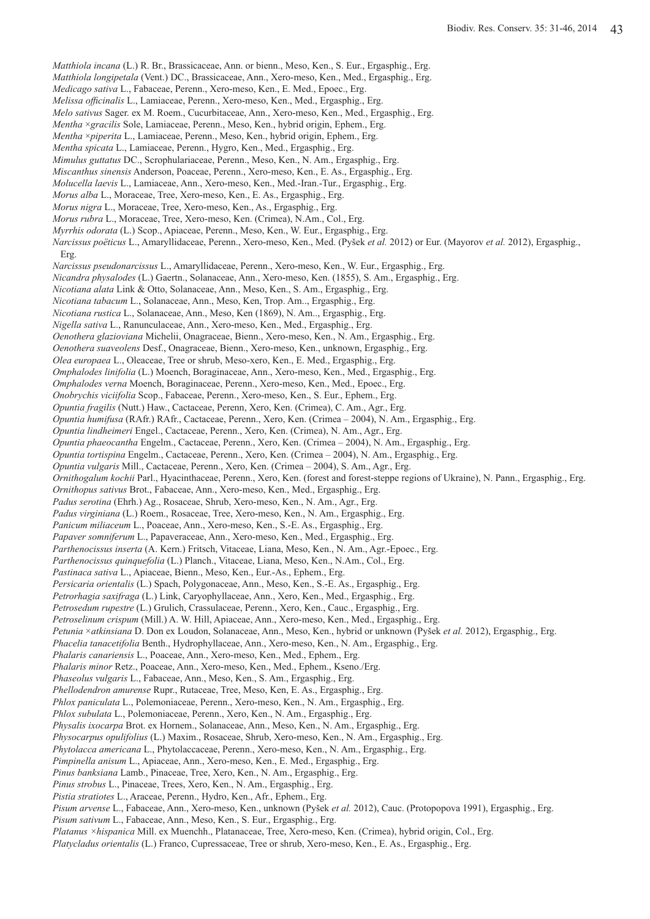*Matthiola incana* (L.) R. Br., Brassicaceae, Ann. or bienn., Meso, Ken., S. Eur., Ergasphig., Erg.

- *Matthiola longipetala* (Vent.) DC., Brassicaceae, Ann., Xero-meso, Ken., Med., Ergasphig., Erg.
- *Medicago sativa* L., Fabaceae, Perenn., Xero-meso, Ken., E. Med., Epoec., Erg.
- *Melissa officinalis* L., Lamiaceae, Perenn., Xero-meso, Ken., Med., Ergasphig., Erg.
- *Melo sativus* Sager. ex M. Roem., Cucurbitaceae, Ann., Xero-meso, Ken., Med., Ergasphig., Erg.
- *Mentha* ×*gracilis* Sole, Lamiaceae, Perenn., Meso, Ken., hybrid origin, Ephem., Erg.
- *Mentha* ×*piperita* L., Lamiaceae, Perenn., Meso, Ken., hybrid origin, Ephem., Erg.
- *Mentha spicata* L., Lamiaceae, Perenn., Hygro, Ken., Med., Ergasphig., Erg.
- *Mimulus guttatus* DC., Scrophulariaceae, Perenn., Meso, Ken., N. Am., Ergasphig., Erg.
- *Miscanthus sinensis* Anderson, Poaceae, Perenn., Xero-meso, Ken., E. As., Ergasphig., Erg.
- *Molucella laevis* L., Lamiaceae, Ann., Xero-meso, Ken., Med.-Iran.-Tur., Ergasphig., Erg.
- *Morus alba* L., Moraceae, Tree, Xero-meso, Ken., E. As., Ergasphig., Erg.
- *Morus nigra* L., Moraceae, Tree, Xero-meso, Ken., As., Ergasphig., Erg.
- *Morus rubra* L., Moraceae, Tree, Xero-meso, Ken. (Crimea), N.Am., Col., Erg.
- *Myrrhis odorata* (L.) Scop., Apiaceae, Perenn., Meso, Ken., W. Eur., Ergasphig., Erg.
- *Narcissus poëticus* L., Amaryllidaceae, Perenn., Xero-meso, Ken., Med. (Pyšek *et al.* 2012) or Eur. (Mayorov *et al.* 2012), Ergasphig., Erg.
- *Narcissus pseudonarcissus* L., Amaryllidaceae, Perenn., Xero-meso, Ken., W. Eur., Ergasphig., Erg.
- *Nicandra physalodes* (L.) Gaertn., Solanaceae, Ann., Xero-meso, Ken. (1855), S. Am., Ergasphig., Erg.
- *Nicotiana alata* Link & Otto, Solanaceae, Ann., Meso, Ken., S. Am., Ergasphig., Erg.
- *Nicotiana tabacum* L., Solanaceae, Ann., Meso, Ken, Trop. Am.., Ergasphig., Erg.
- *Nicotiana rustica* L., Solanaceae, Ann., Meso, Ken (1869), N. Am.., Ergasphig., Erg.
- *Nigella sativa* L., Ranunculaceae, Ann., Xero-meso, Ken., Med., Ergasphig., Erg.
- *Oenothera glazioviana* Michelii, Onagraceae, Bienn., Xero-meso, Ken., N. Am., Ergasphig., Erg.
- *Oenothera suaveolens* Desf., Onagraceae, Bienn., Xero-meso, Ken., unknown, Ergasphig., Erg.
- *Olea europaea* L., Oleaceae, Tree or shrub, Meso-xero, Ken., E. Med., Ergasphig., Erg.
- *Omphalodes linifolia* (L.) Moench, Boraginaceae, Ann., Xero-meso, Ken., Med., Ergasphig., Erg.
- *Omphalodes verna* Moench, Boraginaceae, Perenn., Xero-meso, Ken., Med., Epoec., Erg.
- *Onobrychis viciifolia* Scop., Fabaceae, Perenn., Xero-meso, Ken., S. Eur., Ephem., Erg.
- *Opuntia fragilis* (Nutt.) Haw., Cactaceae, Perenn, Xero, Ken. (Crimea), C. Am., Agr., Erg.
- *Opuntia humifusa* (RAfr.) RAfr., Cactaceae, Perenn., Xero, Ken. (Crimea 2004), N. Am., Ergasphig., Erg.
- *Opuntia lindheimeri* Engel., Cactaceae, Perenn., Xero, Ken. (Crimea), N. Am., Agr., Erg.
- *Opuntia phaeocantha* Engelm., Cactaceae, Perenn., Xero, Ken. (Crimea 2004), N. Am., Ergasphig., Erg.
- *Opuntia tortispina* Engelm., Cactaceae, Perenn., Xero, Ken. (Crimea 2004), N. Am., Ergasphig., Erg.
- *Opuntia vulgaris* Mill., Cactaceae, Perenn., Xero, Ken. (Crimea 2004), S. Am., Agr., Erg.
- *Ornithogalum kochii* Parl., Hyacinthaceae, Perenn., Xero, Ken. (forest and forest-steppe regions of Ukraine), N. Pann., Ergasphig., Erg.
- *Ornithopus sativus* Brot., Fabaceae, Ann., Xero-meso, Ken., Med., Ergasphig., Erg.
- *Padus serotina* (Ehrh.) Ag., Rosaceae, Shrub, Xero-meso, Ken., N. Am., Agr., Erg.
- *Padus virginiana* (L.) Roem., Rosaceae, Tree, Xero-meso, Ken., N. Am., Ergasphig., Erg.
- *Panicum miliaceum* L., Poaceae, Ann., Xero-meso, Ken., S.-E. As., Ergasphig., Erg.
- *Papaver somniferum* L., Papaveraceae, Ann., Xero-meso, Ken., Med., Ergasphig., Erg.
- *Parthenocissus inserta* (A. Kern.) Fritsch, Vitaceae, Liana, Meso, Ken., N. Am., Agr.-Epoec., Erg.
- *Parthenocissus quinquefolia* (L.) Planch., Vitaceae, Liana, Meso, Ken., N.Am., Col., Erg.
- *Pastinaca sativa* L., Apiaceae, Bienn., Meso, Ken., Eur.-As., Ephem., Erg.
- *Persicaria orientalis* (L.) Spach, Polygonaceae, Ann., Meso, Ken., S.-E. As., Ergasphig., Erg.
- *Petrorhagia saxifraga* (L.) Link, Caryophyllaceae, Ann., Xero, Ken., Med., Ergasphig., Erg.
- *Petrosedum rupestre* (L.) Grulich, Crassulaceae, Perenn., Xero, Ken., Cauc., Ergasphig., Erg.
- *Petroselinum crispum* (Mill.) A. W. Hill, Apiaceae, Ann., Xero-meso, Ken., Med., Ergasphig., Erg.
- *Petunia* ×*atkinsiana* D. Don ex Loudon, Solanaceae, Ann., Meso, Ken., hybrid or unknown (Pyšek *et al.* 2012), Ergasphig., Erg.
- *Phacelia tanacetifolia* Benth., Hydrophyllaceae, Ann., Xero-meso, Ken., N. Am., Ergasphig., Erg.
- *Phalaris canariensis* L., Poaceae, Ann., Xero-meso, Ken., Med., Ephem., Erg.
- *Phalaris minor* Retz., Poaceae, Ann., Xero-meso, Ken., Med., Ephem., Kseno./Erg.
- *Phaseolus vulgaris* L., Fabaceae, Ann., Meso, Ken., S. Am., Ergasphig., Erg.
- *Phellodendron amurense* Rupr., Rutaceae, Tree, Meso, Ken, E. As., Ergasphig., Erg.
- *Phlox paniculata* L., Polemoniaceae, Perenn., Xero-meso, Ken., N. Am., Ergasphig., Erg.
- *Phlox subulata* L., Polemoniaceae, Perenn., Xero, Ken., N. Am., Ergasphig., Erg.
- *Physalis ixocarpa* Brot. ex Hornem., Solanaceae, Ann., Meso, Ken., N. Am., Ergasphig., Erg.
- *Physocarpus opulifolius* (L.) Maxim., Rosaceae, Shrub, Xero-meso, Ken., N. Am., Ergasphig., Erg.
- *Phytolacca americana* L., Phytolaccaceae, Perenn., Xero-meso, Ken., N. Am., Ergasphig., Erg.
- *Pimpinella anisum* L., Apiaceae, Ann., Xero-meso, Ken., E. Med., Ergasphig., Erg.
- *Pinus banksiana* Lamb., Pinaceae, Tree, Xero, Ken., N. Am., Ergasphig., Erg.
- *Pinus strobus* L., Pinaceae, Trees, Xero, Ken., N. Am., Ergasphig., Erg.
- *Pistia stratiotes* L., Araceae, Perenn., Hydro, Ken., Afr., Ephem., Erg.
- *Pisum arvense* L., Fabaceae, Ann., Xero-meso, Ken., unknown (Pyšek *et al.* 2012), Cauc. (Protopopova 1991), Ergasphig., Erg.
- *Pisum sativum* L., Fabaceae, Ann., Meso, Ken., S. Eur., Ergasphig., Erg.
- *Platanus ×hispanica* Mill. ex Muenchh., Platanaceae, Tree, Xero-meso, Ken. (Crimea), hybrid origin, Col., Erg.
- *Platycladus orientalis* (L.) Franco, Cupressaceae, Tree or shrub, Xero-meso, Ken., E. As., Ergasphig., Erg.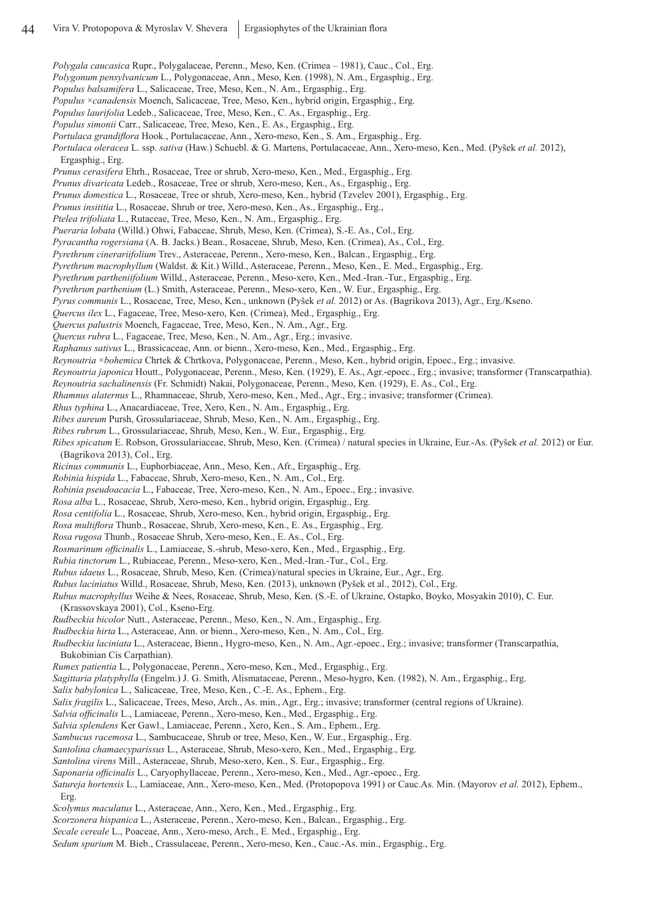*Polygala caucasica* Rupr., Polygalaceae, Perenn., Meso, Ken. (Crimea – 1981), Cauc., Col., Erg.

- *Polygonum pensylvanicum* L., Polygonaceae, Ann., Meso, Ken. (1998), N. Am., Ergasphig., Erg.
- *Populus balsamifera* L., Salicaceae, Tree, Meso, Ken., N. Am., Ergasphig., Erg.
- *Populus* ×*canadensis* Moench, Salicaceae, Tree, Meso, Ken., hybrid origin, Ergasphig., Erg.
- *Populus laurifolia* Ledeb., Salicaceae, Tree, Meso, Ken., C. As., Ergasphig., Erg.
- *Populus simonii* Carr., Salicaceae, Tree, Meso, Ken., E. As., Ergasphig., Erg.
- *Portulaca grandiflora* Hook., Portulacaceae, Ann., Xero-meso, Ken., S. Am., Ergasphig., Erg.

*Portulaca oleracea* L. ssp. *sativa* (Haw.) Schuebl. & G. Martens, Portulacaceae, Ann., Xero-meso, Ken., Med. (Pyšek *et al.* 2012), Ergasphig., Erg.

- *Prunus cerasifera* Ehrh., Rosaceae, Tree or shrub, Xero-meso, Ken., Med., Ergasphig., Erg.
- *Prunus divaricata* Ledeb., Rosaceae, Tree or shrub, Xero-meso, Ken., As., Ergasphig., Erg.
- *Prunus domestica* L., Rosaceae, Tree or shrub, Xero-meso, Ken., hybrid (Tzvelev 2001), Ergasphig., Erg.
- *Prunus insititia* L., Rosaceae, Shrub or tree, Xero-meso, Ken., As., Ergasphig., Erg.,
- *Ptelea trifoliata* L., Rutaceae, Tree, Meso, Ken., N. Am., Ergasphig., Erg.
- *Pueraria lobata* (Willd.) Ohwi, Fabaceae, Shrub, Meso, Ken. (Crimea), S.-E. As., Col., Erg.
- *Pyracantha rogersiana* (A. B. Jacks.) Bean., Rosaceae, Shrub, Meso, Ken. (Crimea), As., Col., Erg.
- *Pyrethrum cinerariifolium* Trev., Asteraceae, Perenn., Xero-meso, Ken., Balcan., Ergasphig., Erg.
- *Pyrethrum macrophyllum* (Waldst. & Kit.) Willd., Asteraceae, Perenn., Meso, Ken., E. Med., Ergasphig., Erg.
- *Pyrethrum partheniifolium* Willd., Asteraceae, Perenn., Meso-xero, Ken., Med.-Iran.-Tur., Ergasphig., Erg.
- *Pyrethrum parthenium* (L.) Smith, Asteraceae, Perenn., Meso-xero, Ken., W. Eur., Ergasphig., Erg.
- *Pyrus communis* L., Rosaceae, Tree, Meso, Ken., unknown (Pyšek *et al.* 2012) or As. (Bagrikova 2013), Agr., Erg./Kseno.
- *Quercus ilex* L., Fagaceae, Tree, Meso-xero, Ken. (Crimea), Med., Ergasphig., Erg.
- *Quercus palustris* Moench, Fagaceae, Tree, Meso, Ken., N. Am., Agr., Erg.
- *Quercus rubra* L., Fagaceae, Tree, Meso, Ken., N. Am., Agr., Erg.; invasive.
- *Raphanus sativus* L., Brassicaceae, Ann. or bienn., Xero-meso, Ken., Med., Ergasphig., Erg.
- *Reynoutria* ×*bohemica* Chrtek & Chrtkova, Polygonaceae, Perenn., Meso, Ken., hybrid origin, Epoec., Erg.; invasive.
- *Reynoutria japonica* Houtt., Polygonaceae, Perenn., Meso, Ken. (1929), E. As., Agr.-epoec., Erg.; invasive; transformer (Transcarpathia).
- *Reynoutria sachalinensis* (Fr. Schmidt) Nakai, Polygonaceae, Perenn., Meso, Ken. (1929), E. As., Col., Erg.
- *Rhamnus alaternus* L., Rhamnaceae, Shrub, Xero-meso, Ken., Med., Agr., Erg.; invasive; transformer (Crimea).
- *Rhus typhina* L., Anacardiaceae, Tree, Xero, Ken., N. Am., Ergasphig., Erg.
- *Ribes aureum* Pursh, Grossulariaceae, Shrub, Meso, Ken., N. Am., Ergasphig., Erg.
- *Ribes rubrum* L., Grossulariaceae, Shrub, Meso, Ken., W. Eur., Ergasphig., Erg.
- *Ribes spicatum* E. Robson, Grossulariaceae, Shrub, Meso, Ken. (Crimea) / natural species in Ukraine, Eur.-As. (Pyšek *et al.* 2012) or Eur. (Bagrikova 2013), Col., Erg.
- *Ricinus communis* L., Euphorbiaceae, Ann., Meso, Ken., Afr., Ergasphig., Erg.
- *Robinia hispida* L., Fabaceae, Shrub, Xero-meso, Ken., N. Am., Col., Erg.
- *Robinia pseudoacacia* L., Fabaceae, Tree, Xero-meso, Ken., N. Am., Epoec., Erg.; invasive.
- *Rosa alba* L., Rosaceae, Shrub, Xero-meso, Ken., hybrid origin, Ergasphig., Erg.
- *Rosa centifolia* L., Rosaceae, Shrub, Xero-meso, Ken., hybrid origin, Ergasphig., Erg.
- *Rosa multiflora* Thunb., Rosaceae, Shrub, Xero-meso, Ken., E. As., Ergasphig., Erg.
- *Rosa rugosa* Thunb., Rosaceae Shrub, Xero-meso, Ken., E. As., Col., Erg.
- *Rosmarinum officinalis* L., Lamiaceae, S.-shrub, Meso-xero, Ken., Med., Ergasphig., Erg.
- *Rubia tinctorum* L., Rubiaceae, Perenn., Meso-xero, Ken., Med.-Iran.-Tur., Col., Erg.
- *Rubus idaeus* L., Rosaceae, Shrub, Meso, Ken. (Crimea)/natural species in Ukraine, Eur., Agr., Erg.
- *Rubus laciniatus* Willd., Rosaceae, Shrub, Meso, Ken. (2013), unknown (Pyšek et al., 2012), Col., Erg.
- *Rubus macrophyllus* Weihe & Nees, Rosaceae, Shrub, Meso, Ken. (S.-E. of Ukraine, Ostapko, Boyko, Mosyakin 2010), C. Eur. (Krassovskaya 2001), Col., Kseno-Erg.
- *Rudbeckia bicolor* Nutt., Asteraceae, Perenn., Meso, Ken., N. Am., Ergasphig., Erg.
- *Rudbeckia hirta* L., Asteraceae, Ann. or bienn., Xero-meso, Ken., N. Am., Col., Erg.

*Rudbeckia laciniata* L., Asteraceae, Bienn., Hygro-meso, Ken., N. Am., Agr.-epoec., Erg.; invasive; transformer (Transcarpathia, Bukobinian Cis Carpathian).

- *Rumex patientia* L., Polygonaceae, Perenn., Xero-meso, Ken., Med., Ergasphig., Erg.
- *Sagittaria platyphylla* (Engelm.) J. G. Smith, Alismataceae, Perenn., Meso-hygro, Ken. (1982), N. Am., Ergasphig., Erg.
- *Salix babylonica* L., Salicaceae, Tree, Meso, Ken., C.-E. As., Ephem., Erg.
- *Salix fragilis* L., Salicaceae, Trees, Meso, Arch., As. min., Agr., Erg.; invasive; transformer (central regions of Ukraine).
- *Salvia officinalis* L., Lamiaceae, Perenn., Xero-meso, Ken., Med., Ergasphig., Erg.
- *Salvia splendens* Ker Gawl., Lamiaceae, Perenn., Xero, Ken., S. Am., Ephem., Erg.
- *Sambucus racemosa* L., Sambucaceae, Shrub or tree, Meso, Ken., W. Eur., Ergasphig., Erg.
- *Santolina chamaecyparissus* L., Asteraceae, Shrub, Meso-xero, Ken., Med., Ergasphig., Erg.
- *Santolina virens* Mill., Asteraceae, Shrub, Meso-xero, Ken., S. Eur., Ergasphig., Erg.
- *Saponaria officinalis* L., Caryophyllaceae, Perenn., Xero-meso, Ken., Med., Agr.-epoec., Erg.
- *Satureja hortensis* L., Lamiaceae, Ann., Xero-meso, Ken., Med. (Protopopova 1991) or Cauc.As. Min. (Mayorov *et al.* 2012), Ephem., Erg.
- *Scolymus maculatus* L., Asteraceae, Ann., Xero, Ken., Med., Ergasphig., Erg.
- *Scorzonera hispanica* L., Asteraceae, Perenn., Xero-meso, Ken., Balcan., Ergasphig., Erg.
- *Secale cereale* L., Poaceae, Ann., Xero-meso, Arch., E. Med., Ergasphig., Erg.
- *Sedum spurium* М. Bieb., Crassulaceae, Perenn., Xero-meso, Ken., Cauc.-As. min., Ergasphig., Erg.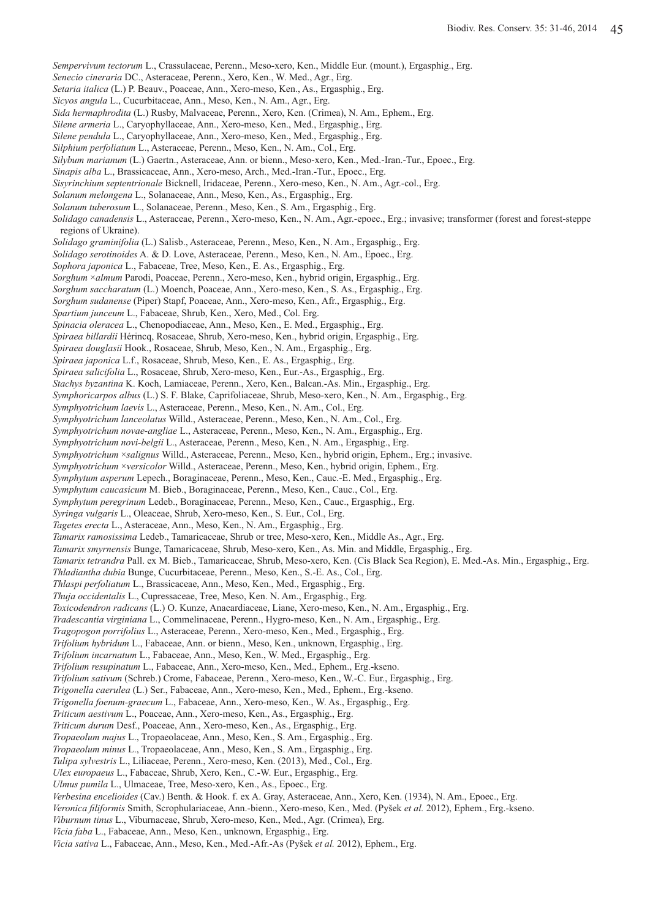*Sempervivum tectorum* L., Crassulaceae, Perenn., Meso-xero, Ken., Middle Eur. (mount.), Ergasphig., Erg.

- *Senecio cineraria* DC., Asteraceae, Perenn., Xero, Ken., W. Med., Agr., Erg.
- *Setaria italica* (L.) P. Beauv., Poaceae, Ann., Xero-meso, Ken., As., Ergasphig., Erg.
- *Sicyos angula* L., Cucurbitaceae, Ann., Meso, Ken., N. Am., Agr., Erg.
- *Sida hermaphrodita* (L.) Rusby, Malvaceae, Perenn., Xero, Ken. (Crimea), N. Am., Ephem., Erg.
- *Silene armeria* L., Caryophyllaceae, Ann., Xero-meso, Ken., Med., Ergasphig., Erg.
- *Silene pendula* L., Caryophyllaceae, Ann., Xero-meso, Ken., Med., Ergasphig., Erg.
- *Silphium perfoliatum* L., Asteraceae, Perenn., Meso, Ken., N. Am., Col., Erg.
- *Silybum marianum* (L.) Gaertn., Asteraceae, Ann. or bienn., Meso-xero, Ken., Med.-Iran.-Tur., Epoec., Erg.
- *Sinapis alba* L., Brassicaceae, Ann., Xero-meso, Arch., Med.-Iran.-Tur., Epoec., Erg.
- *Sisyrinchium septentrionale* Bicknell, Iridaceae, Perenn., Xero-meso, Ken., N. Am., Agr.-col., Erg.
- *Solanum melongena* L., Solanaceae, Ann., Meso, Ken., As., Ergasphig., Erg.
- *Solanum tuberosum* L., Solanaceae, Perenn., Meso, Ken., S. Am., Ergasphig., Erg.
- *Solidago canadensis* L., Asteraceae, Perenn., Xero-meso, Ken., N. Am., Agr.-epoec., Erg.; invasive; transformer (forest and forest-steppe regions of Ukraine).
- *Solidago graminifolia* (L.) Salisb., Asteraceae, Perenn., Meso, Ken., N. Am., Ergasphig., Erg.
- *Solidago serotinoides* A. & D. Love, Asteraceae, Perenn., Meso, Ken., N. Am., Epoec., Erg.
- *Sophora japonica* L., Fabaceae, Tree, Meso, Ken., E. As., Ergasphig., Erg.
- *Sorghum* ×*almum* Parodi, Poaceae, Perenn., Xero-meso, Ken., hybrid origin, Ergasphig., Erg.
- *Sorghum saccharatum* (L.) Moench, Poaceae, Ann., Xero-meso, Ken., S. As., Ergasphig., Erg.
- *Sorghum sudanense* (Piper) Stapf, Poaceae, Ann., Xero-meso, Ken., Afr., Ergasphig., Erg.
- *Spartium junceum* L., Fabaceae, Shrub, Ken., Xero, Med., Col. Erg.
- *Spinacia oleracea* L., Chenopodiaceae, Ann., Meso, Ken., E. Med., Ergasphig., Erg.
- *Spiraea billardii* Hérincq, Rosaceae, Shrub, Xero-meso, Ken., hybrid origin, Ergasphig., Erg.
- *Spiraea douglasii* Hook., Rosaceae, Shrub, Meso, Ken., N. Am., Ergasphig., Erg.
- *Spiraea japonica* L.f., Rosaceae, Shrub, Meso, Ken., E. As., Ergasphig., Erg.
- *Spiraea salicifolia* L., Rosaceae, Shrub, Xero-meso, Ken., Eur.-As., Ergasphig., Erg.
- *Stachys byzantina* K. Koch, Lamiaceae, Perenn., Xero, Ken., Balcan.-As. Min., Ergasphig., Erg.
- *Symphoricarpos albus* (L.) S. F. Blake, Caprifoliaceae, Shrub, Meso-xero, Ken., N. Am., Ergasphig., Erg.
- *Symphyotrichum laevis* L., Asteraceae, Perenn., Meso, Ken., N. Am., Сol., Erg.
- *Symphyotrichum lanceolatus* Willd., Asteraceae, Perenn., Meso, Ken., N. Am., Сol., Erg.
- *Symphyotrichum novae-angliae* L., Asteraceae, Perenn., Meso, Ken., N. Am., Ergasphig., Erg.
- *Symphyotrichum novi-belgii* L., Asteraceae, Perenn., Meso, Ken., N. Am., Ergasphig., Erg.
- *Symphyotrichum* ×*salignus* Willd., Asteraceae, Perenn., Meso, Ken., hybrid origin, Ephem., Erg.; invasive.
- *Symphyotrichum* ×*versicolor* Willd., Asteraceae, Perenn., Meso, Ken., hybrid origin, Ephem., Erg.
- *Symphytum asperum* Lepech., Boraginaceae, Perenn., Meso, Ken., Cauc.-E. Med., Ergasphig., Erg.
- *Symphytum caucasicum* M. Bieb., Boraginaceae, Perenn., Meso, Ken., Cauc., Сol., Erg.
- *Symphytum peregrinum* Ledeb., Boraginaceae, Perenn., Meso, Ken., Сauc., Ergasphig., Erg.
- *Syringa vulgaris* L., Oleaceae, Shrub, Xero-meso, Ken., S. Eur., Col., Erg.
- *Tagetes erecta* L., Asteraceae, Ann., Meso, Ken., N. Am., Ergasphig., Erg.
- *Tamarix ramosissima* Ledeb., Tamaricaceae, Shrub or tree, Meso-xero, Ken., Middle As., Agr., Erg.
- *Tamarix smyrnensis* Bunge, Tamaricaceae, Shrub, Meso-xero, Ken., As. Min. and Middle, Ergasphig., Erg.
- *Tamarix tetrandra* Pall. ex М. Bieb., Tamaricaceae, Shrub, Meso-xero, Ken. (Cis Black Sea Region), E. Med.-As. Min., Ergasphig., Erg.
- *Thladiantha dubia* Bunge, Cucurbitaceae, Perenn., Meso, Ken., S.-E. As., Col., Erg.
- *Thlaspi perfoliatum* L., Brassicaceae, Ann., Meso, Ken., Med., Ergasphig., Erg.
- *Thuja occidentalis* L., Cupressaceae, Tree, Meso, Ken. N. Am., Ergasphig., Erg.
- *Toxicodendron radicans* (L.) O. Kunze, Anacardiaceae, Liane, Xero-meso, Ken., N. Am., Ergasphig., Erg.
- *Tradescantia virginiana* L., Commelinaceae, Perenn., Hygro-meso, Ken., N. Am., Ergasphig., Erg.
- *Tragopogon porrifolius* L., Asteraceae, Perenn., Xero-meso, Ken., Med., Ergasphig., Erg.
- *Trifolium hybridum* L., Fabaceae, Ann. or bienn., Meso, Ken., unknown, Ergasphig., Erg.
- *Trifolium incarnatum* L., Fabaceae, Ann., Meso, Ken., W. Med., Ergasphig., Erg.
- *Trifolium resupinatum* L., Fabaceae, Ann., Xero-meso, Ken., Med., Ephem., Erg.-kseno.
- *Trifolium sativum* (Schreb.) Crome, Fabaceae, Perenn., Xero-meso, Ken., W.-C. Eur., Ergasphig., Erg.
- *Trigonella caerulea* (L.) Ser., Fabaceae, Ann., Xero-meso, Ken., Med., Ephem., Erg.-kseno.
- *Trigonella foenum-graecum* L., Fabaceae, Ann., Xero-meso, Ken., W. As., Ergasphig., Erg.
- *Triticum aestivum* L., Poaceae, Ann., Xero-meso, Ken., As., Ergasphig., Erg.
- *Triticum durum* Desf., Poaceae, Ann., Xero-meso, Ken., As., Ergasphig., Erg.
- *Tropaeolum majus* L., Tropaeolaceae, Ann., Meso, Ken., S. Am., Ergasphig., Erg.
- *Tropaeolum minus* L., Tropaeolaceae, Ann., Meso, Ken., S. Am., Ergasphig., Erg.
- *Tulipa sylvestris* L., Liliaceae, Perenn., Xero-meso, Ken. (2013), Med., Col., Erg.
- *Ulex europaeus* L., Fabaceae, Shrub, Xero, Ken., C.-W. Eur., Ergasphig., Erg.
- *Ulmus pumila* L., Ulmaceae, Tree, Meso-xero, Ken., As., Epoec., Erg.
- *Verbesina encelioides* (Cav.) Benth. & Hook. f. ex A. Gray, Asteraceae, Ann., Xero, Ken. (1934), N. Am., Epoec., Erg.
- *Veronica filiformis* Smith, Scrophulariaceae, Ann.-bienn., Xero-meso, Ken., Med. (Pyšek *et al.* 2012), Ephem., Erg.-kseno.
- *Viburnum tinus* L., Viburnaceae, Shrub, Xero-meso, Ken., Med., Agr. (Crimea), Erg.
- *Vicia faba* L., Fabaceae, Ann., Meso, Ken., unknown, Ergasphig., Erg.
- *Vicia sativa* L., Fabaceae, Ann., Meso, Ken., Med.-Afr.-As (Pyšek *et al.* 2012), Ephem., Erg.